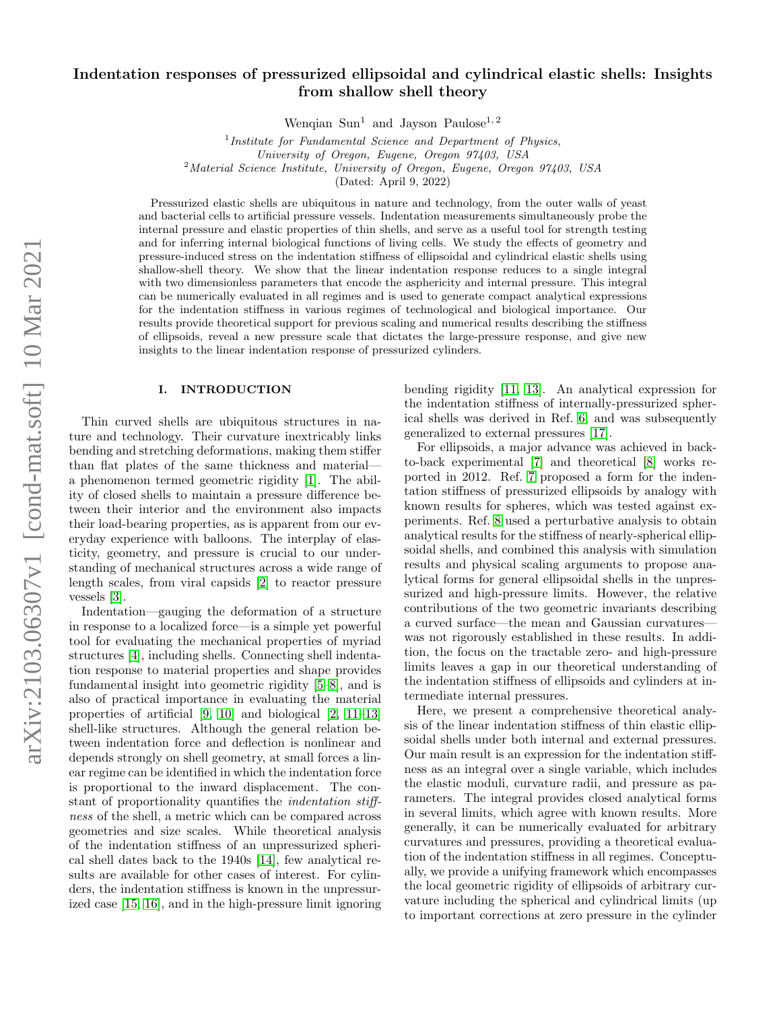# Indentation responses of pressurized ellipsoidal and cylindrical elastic shells: Insights from shallow shell theory

Wenqian Sun<sup>1</sup> and Jayson Paulose<sup>1, 2</sup>

<sup>1</sup>Institute for Fundamental Science and Department of Physics, University of Oregon, Eugene, Oregon 97403, USA <sup>2</sup>Material Science Institute, University of Oregon, Eugene, Oregon 97403, USA (Dated: April 9, 2022)

Pressurized elastic shells are ubiquitous in nature and technology, from the outer walls of yeast and bacterial cells to artificial pressure vessels. Indentation measurements simultaneously probe the internal pressure and elastic properties of thin shells, and serve as a useful tool for strength testing and for inferring internal biological functions of living cells. We study the effects of geometry and pressure-induced stress on the indentation stiffness of ellipsoidal and cylindrical elastic shells using shallow-shell theory. We show that the linear indentation response reduces to a single integral with two dimensionless parameters that encode the asphericity and internal pressure. This integral can be numerically evaluated in all regimes and is used to generate compact analytical expressions for the indentation stiffness in various regimes of technological and biological importance. Our results provide theoretical support for previous scaling and numerical results describing the stiffness of ellipsoids, reveal a new pressure scale that dictates the large-pressure response, and give new insights to the linear indentation response of pressurized cylinders.

#### I. INTRODUCTION

Thin curved shells are ubiquitous structures in nature and technology. Their curvature inextricably links bending and stretching deformations, making them stiffer than flat plates of the same thickness and material a phenomenon termed geometric rigidity [\[1\]](#page-14-0). The ability of closed shells to maintain a pressure difference between their interior and the environment also impacts their load-bearing properties, as is apparent from our everyday experience with balloons. The interplay of elasticity, geometry, and pressure is crucial to our understanding of mechanical structures across a wide range of length scales, from viral capsids [\[2\]](#page-14-1) to reactor pressure vessels [\[3\]](#page-14-2).

Indentation—gauging the deformation of a structure in response to a localized force—is a simple yet powerful tool for evaluating the mechanical properties of myriad structures [\[4\]](#page-14-3), including shells. Connecting shell indentation response to material properties and shape provides fundamental insight into geometric rigidity [\[5–](#page-14-4)[8\]](#page-15-0), and is also of practical importance in evaluating the material properties of artificial [\[9,](#page-15-1) [10\]](#page-15-2) and biological [\[2,](#page-14-1) [11](#page-15-3)[–13\]](#page-15-4) shell-like structures. Although the general relation between indentation force and deflection is nonlinear and depends strongly on shell geometry, at small forces a linear regime can be identified in which the indentation force is proportional to the inward displacement. The constant of proportionality quantifies the indentation stiffness of the shell, a metric which can be compared across geometries and size scales. While theoretical analysis of the indentation stiffness of an unpressurized spherical shell dates back to the 1940s [\[14\]](#page-15-5), few analytical results are available for other cases of interest. For cylinders, the indentation stiffness is known in the unpressurized case [\[15,](#page-15-6) [16\]](#page-15-7), and in the high-pressure limit ignoring bending rigidity [\[11,](#page-15-3) [13\]](#page-15-4). An analytical expression for the indentation stiffness of internally-pressurized spherical shells was derived in Ref. [6,](#page-15-8) and was subsequently generalized to external pressures [\[17\]](#page-15-9).

For ellipsoids, a major advance was achieved in backto-back experimental [\[7\]](#page-15-10) and theoretical [\[8\]](#page-15-0) works reported in 2012. Ref. [7](#page-15-10) proposed a form for the indentation stiffness of pressurized ellipsoids by analogy with known results for spheres, which was tested against experiments. Ref. [8](#page-15-0) used a perturbative analysis to obtain analytical results for the stiffness of nearly-spherical ellipsoidal shells, and combined this analysis with simulation results and physical scaling arguments to propose analytical forms for general ellipsoidal shells in the unpressurized and high-pressure limits. However, the relative contributions of the two geometric invariants describing a curved surface—the mean and Gaussian curvatures was not rigorously established in these results. In addition, the focus on the tractable zero- and high-pressure limits leaves a gap in our theoretical understanding of the indentation stiffness of ellipsoids and cylinders at intermediate internal pressures.

Here, we present a comprehensive theoretical analysis of the linear indentation stiffness of thin elastic ellipsoidal shells under both internal and external pressures. Our main result is an expression for the indentation stiffness as an integral over a single variable, which includes the elastic moduli, curvature radii, and pressure as parameters. The integral provides closed analytical forms in several limits, which agree with known results. More generally, it can be numerically evaluated for arbitrary curvatures and pressures, providing a theoretical evaluation of the indentation stiffness in all regimes. Conceptually, we provide a unifying framework which encompasses the local geometric rigidity of ellipsoids of arbitrary curvature including the spherical and cylindrical limits (up to important corrections at zero pressure in the cylinder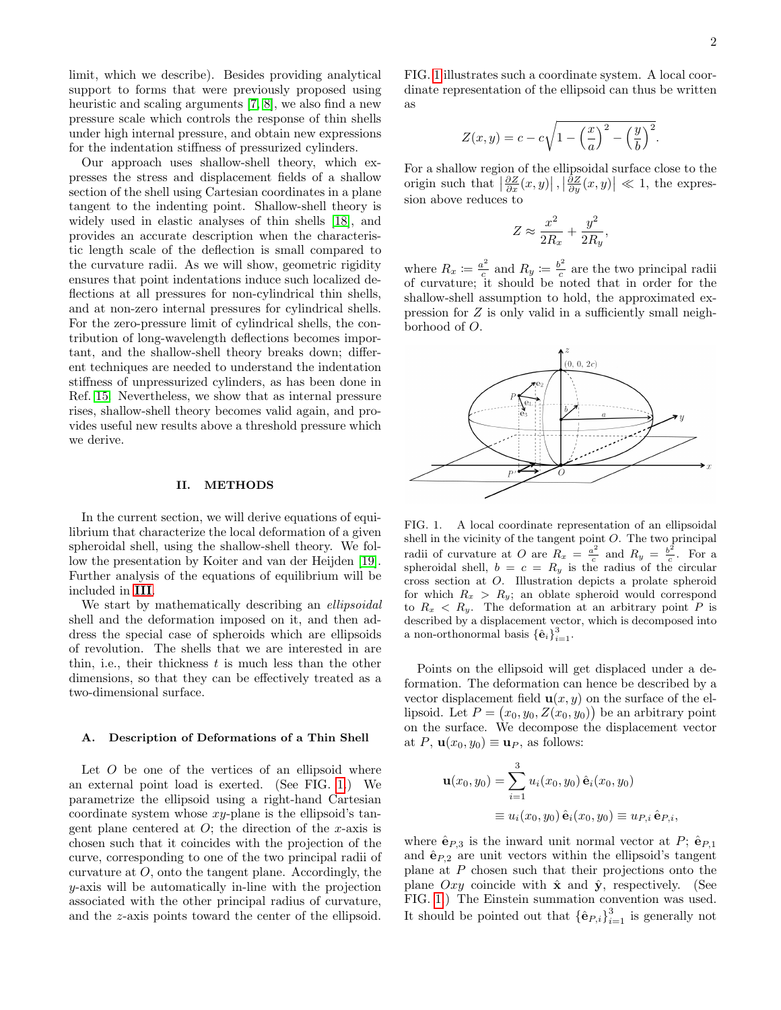limit, which we describe). Besides providing analytical support to forms that were previously proposed using heuristic and scaling arguments [\[7,](#page-15-10) [8\]](#page-15-0), we also find a new pressure scale which controls the response of thin shells under high internal pressure, and obtain new expressions for the indentation stiffness of pressurized cylinders.

Our approach uses shallow-shell theory, which expresses the stress and displacement fields of a shallow section of the shell using Cartesian coordinates in a plane tangent to the indenting point. Shallow-shell theory is widely used in elastic analyses of thin shells [\[18\]](#page-15-11), and provides an accurate description when the characteristic length scale of the deflection is small compared to the curvature radii. As we will show, geometric rigidity ensures that point indentations induce such localized deflections at all pressures for non-cylindrical thin shells, and at non-zero internal pressures for cylindrical shells. For the zero-pressure limit of cylindrical shells, the contribution of long-wavelength deflections becomes important, and the shallow-shell theory breaks down; different techniques are needed to understand the indentation stiffness of unpressurized cylinders, as has been done in Ref. [15.](#page-15-6) Nevertheless, we show that as internal pressure rises, shallow-shell theory becomes valid again, and provides useful new results above a threshold pressure which we derive.

### <span id="page-1-1"></span>II. METHODS

In the current section, we will derive equations of equilibrium that characterize the local deformation of a given spheroidal shell, using the shallow-shell theory. We follow the presentation by Koiter and van der Heijden [\[19\]](#page-15-12). Further analysis of the equations of equilibrium will be included in [III](#page-3-0).

We start by mathematically describing an *ellipsoidal* shell and the deformation imposed on it, and then address the special case of spheroids which are ellipsoids of revolution. The shells that we are interested in are thin, i.e., their thickness  $t$  is much less than the other dimensions, so that they can be effectively treated as a two-dimensional surface.

### A. Description of Deformations of a Thin Shell

Let  $O$  be one of the vertices of an ellipsoid where an external point load is exerted. (See FIG. [1.](#page-1-0)) We parametrize the ellipsoid using a right-hand Cartesian coordinate system whose  $xy$ -plane is the ellipsoid's tangent plane centered at  $O$ ; the direction of the x-axis is chosen such that it coincides with the projection of the curve, corresponding to one of the two principal radii of curvature at  $O$ , onto the tangent plane. Accordingly, the y-axis will be automatically in-line with the projection associated with the other principal radius of curvature, and the z-axis points toward the center of the ellipsoid.

FIG. [1](#page-1-0) illustrates such a coordinate system. A local coordinate representation of the ellipsoid can thus be written as

$$
Z(x,y) = c - c\sqrt{1 - \left(\frac{x}{a}\right)^2 - \left(\frac{y}{b}\right)^2}.
$$

For a shallow region of the ellipsoidal surface close to the origin such that  $\left|\frac{\partial Z}{\partial x}(x,y)\right|, \left|\frac{\partial Z}{\partial y}(x,y)\right| \ll 1$ , the expression above reduces to

$$
Z \approx \frac{x^2}{2R_x} + \frac{y^2}{2R_y},
$$

where  $R_x \coloneqq \frac{a^2}{c}$  $\frac{u^2}{c}$  and  $R_y \coloneqq \frac{b^2}{c}$  $\frac{c}{c}$  are the two principal radii of curvature; it should be noted that in order for the shallow-shell assumption to hold, the approximated expression for Z is only valid in a sufficiently small neighborhood of O.



<span id="page-1-0"></span>FIG. 1. A local coordinate representation of an ellipsoidal shell in the vicinity of the tangent point O. The two principal radii of curvature at O are  $R_x = \frac{a^2}{c}$  $\frac{b^2}{c}$  and  $R_y = \frac{b^2}{c}$  $\frac{c}{c}$ . For a spheroidal shell,  $b = c = R_y$  is the radius of the circular cross section at O. Illustration depicts a prolate spheroid for which  $R_x > R_y$ ; an oblate spheroid would correspond to  $R_x < R_y$ . The deformation at an arbitrary point P is described by a displacement vector, which is decomposed into a non-orthonormal basis  $\{\hat{\mathbf{e}}_i\}_{i=1}^3$ .

Points on the ellipsoid will get displaced under a deformation. The deformation can hence be described by a vector displacement field  $\mathbf{u}(x, y)$  on the surface of the ellipsoid. Let  $P = (x_0, y_0, Z(x_0, y_0))$  be an arbitrary point on the surface. We decompose the displacement vector at P,  $\mathbf{u}(x_0, y_0) \equiv \mathbf{u}_P$ , as follows:

$$
\mathbf{u}(x_0, y_0) = \sum_{i=1}^3 u_i(x_0, y_0) \,\hat{\mathbf{e}}_i(x_0, y_0)
$$
  

$$
\equiv u_i(x_0, y_0) \,\hat{\mathbf{e}}_i(x_0, y_0) \equiv u_{P,i} \,\hat{\mathbf{e}}_{P,i},
$$

where  $\hat{\mathbf{e}}_{P,3}$  is the inward unit normal vector at P;  $\hat{\mathbf{e}}_{P,1}$ and  $\hat{\mathbf{e}}_{P,2}$  are unit vectors within the ellipsoid's tangent plane at P chosen such that their projections onto the plane Oxy coincide with  $\hat{\mathbf{x}}$  and  $\hat{\mathbf{y}}$ , respectively. (See FIG. [1.](#page-1-0)) The Einstein summation convention was used. It should be pointed out that  $\{\hat{\mathbf{e}}_{P,i}\}_{i=1}^3$  is generally not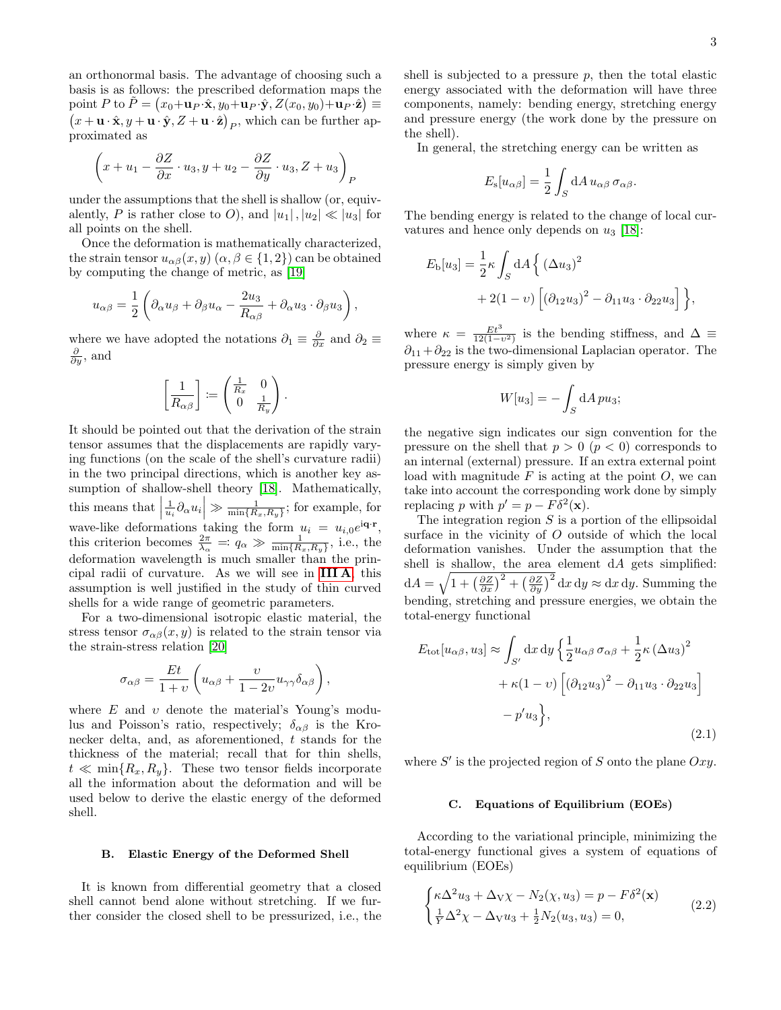an orthonormal basis. The advantage of choosing such a basis is as follows: the prescribed deformation maps the point P to  $\tilde{P} = (x_0 + \mathbf{u}_P \cdot \hat{\mathbf{x}}, y_0 + \mathbf{u}_P \cdot \hat{\mathbf{y}}, Z(x_0, y_0) + \mathbf{u}_P \cdot \hat{\mathbf{z}})$ point  $P$  to  $P = (x_0 + \mathbf{u}_P \cdot \mathbf{x}, y_0 + \mathbf{u}_P \cdot \mathbf{y}, Z(x_0, y_0) + \mathbf{u}_P \cdot \mathbf{z}) \equiv (x + \mathbf{u} \cdot \hat{\mathbf{x}}, y + \mathbf{u} \cdot \hat{\mathbf{y}}, Z + \mathbf{u} \cdot \hat{\mathbf{z}})_P$ , which can be further approximated as

$$
\left(x+u_1-\frac{\partial Z}{\partial x}\cdot u_3,y+u_2-\frac{\partial Z}{\partial y}\cdot u_3,Z+u_3\right)_P
$$

under the assumptions that the shell is shallow (or, equivalently, P is rather close to O), and  $|u_1|, |u_2| \ll |u_3|$  for all points on the shell.

Once the deformation is mathematically characterized, the strain tensor  $u_{\alpha\beta}(x, y)$   $(\alpha, \beta \in \{1, 2\})$  can be obtained by computing the change of metric, as [\[19\]](#page-15-12)

$$
u_{\alpha\beta}=\frac{1}{2}\left(\partial_\alpha u_\beta+\partial_\beta u_\alpha-\frac{2u_3}{R_{\alpha\beta}}+\partial_\alpha u_3\cdot\partial_\beta u_3\right),
$$

where we have adopted the notations  $\partial_1 \equiv \frac{\partial}{\partial x}$  and  $\partial_2 \equiv \frac{\partial}{\partial y}$  $\frac{\partial}{\partial y}$ , and

$$
\left[\frac{1}{R_{\alpha\beta}}\right]\coloneqq\begin{pmatrix}\frac{1}{R_x} & 0\\ 0 & \frac{1}{R_y}\end{pmatrix}
$$

.

It should be pointed out that the derivation of the strain tensor assumes that the displacements are rapidly varying functions (on the scale of the shell's curvature radii) in the two principal directions, which is another key assumption of shallow-shell theory [\[18\]](#page-15-11). Mathematically, this means that  $\left|\frac{1}{u_i}\partial_\alpha u_i\right| \gg \frac{1}{\min\{R_x,R_y\}}$ ; for example, for wave-like deformations taking the form  $u_i = u_{i,0}e^{i\mathbf{q}\cdot\mathbf{r}},$ this criterion becomes  $\frac{2\pi}{\lambda_{\alpha}} = q_{\alpha} \gg \frac{1}{\min\{R_x, R_y\}},$  i.e., the deformation wavelength is much smaller than the principal radii of curvature. As we will see in [III A](#page-3-1), this assumption is well justified in the study of thin curved shells for a wide range of geometric parameters.

For a two-dimensional isotropic elastic material, the stress tensor  $\sigma_{\alpha\beta}(x, y)$  is related to the strain tensor via the strain-stress relation [\[20\]](#page-15-13)

$$
\sigma_{\alpha\beta}=\frac{Et}{1+v}\left(u_{\alpha\beta}+\frac{v}{1-2v}u_{\gamma\gamma}\delta_{\alpha\beta}\right),
$$

where  $E$  and  $v$  denote the material's Young's modulus and Poisson's ratio, respectively;  $\delta_{\alpha\beta}$  is the Kronecker delta, and, as aforementioned, t stands for the thickness of the material; recall that for thin shells,  $t \ll \min\{R_x, R_y\}.$  These two tensor fields incorporate all the information about the deformation and will be used below to derive the elastic energy of the deformed shell.

#### B. Elastic Energy of the Deformed Shell

It is known from differential geometry that a closed shell cannot bend alone without stretching. If we further consider the closed shell to be pressurized, i.e., the

shell is subjected to a pressure  $p$ , then the total elastic energy associated with the deformation will have three components, namely: bending energy, stretching energy and pressure energy (the work done by the pressure on the shell).

In general, the stretching energy can be written as

$$
E_{\rm s}[u_{\alpha\beta}] = \frac{1}{2} \int_S dA \, u_{\alpha\beta} \, \sigma_{\alpha\beta}.
$$

The bending energy is related to the change of local curvatures and hence only depends on  $u_3$  [\[18\]](#page-15-11):

$$
E_{\text{b}}[u_3] = \frac{1}{2} \kappa \int_S dA \left\{ (\Delta u_3)^2 + 2(1 - v) \left[ (\partial_{12} u_3)^2 - \partial_{11} u_3 \cdot \partial_{22} u_3 \right] \right\},\,
$$

where  $\kappa = \frac{Et^3}{12(1-\epsilon)}$  $\frac{Et^2}{12(1-v^2)}$  is the bending stiffness, and  $\Delta \equiv$  $\partial_{11} + \partial_{22}$  is the two-dimensional Laplacian operator. The pressure energy is simply given by

$$
W[u_3] = -\int_S dA \, pu_3;
$$

the negative sign indicates our sign convention for the pressure on the shell that  $p > 0$   $(p < 0)$  corresponds to an internal (external) pressure. If an extra external point load with magnitude  $F$  is acting at the point  $O$ , we can take into account the corresponding work done by simply replacing p with  $p' = p - F\delta^2(\mathbf{x})$ .

The integration region  $S$  is a portion of the ellipsoidal surface in the vicinity of O outside of which the local deformation vanishes. Under the assumption that the shell is shallow, the area element  $dA$  gets simplified:  $dA = \sqrt{1 + \left(\frac{\partial Z}{\partial x}\right)^2 + \left(\frac{\partial Z}{\partial y}\right)^2} dx dy \approx dx dy$ . Summing the bending, stretching and pressure energies, we obtain the total-energy functional

$$
E_{\text{tot}}[u_{\alpha\beta}, u_3] \approx \int_{S'} dx \, dy \left\{ \frac{1}{2} u_{\alpha\beta} \, \sigma_{\alpha\beta} + \frac{1}{2} \kappa \left( \Delta u_3 \right)^2 + \kappa (1 - v) \left[ \left( \partial_{12} u_3 \right)^2 - \partial_{11} u_3 \cdot \partial_{22} u_3 \right] - p' u_3 \right\},\tag{2.1}
$$

where  $S'$  is the projected region of S onto the plane  $Oxy$ .

#### C. Equations of Equilibrium (EOEs)

According to the variational principle, minimizing the total-energy functional gives a system of equations of equilibrium (EOEs)

<span id="page-2-0"></span>
$$
\begin{cases}\n\kappa \Delta^2 u_3 + \Delta \sqrt{\chi} - N_2(\chi, u_3) = p - F \delta^2(\mathbf{x}) \\
\frac{1}{Y} \Delta^2 \chi - \Delta \sqrt{u_3} + \frac{1}{2} N_2(u_3, u_3) = 0,\n\end{cases}
$$
\n(2.2)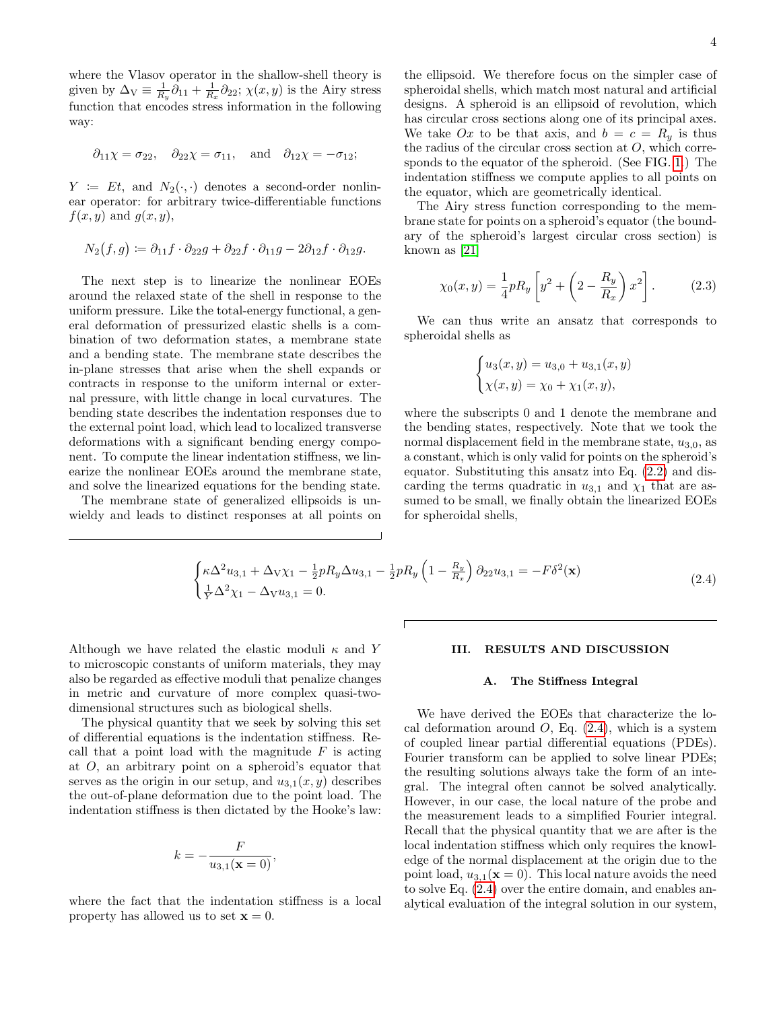where the Vlasov operator in the shallow-shell theory is given by  $\Delta_{\rm V} \equiv \frac{1}{R_y} \partial_{11} + \frac{1}{R_x} \partial_{22}$ ;  $\chi(x, y)$  is the Airy stress function that encodes stress information in the following way:

$$
\partial_{11}\chi = \sigma_{22}, \quad \partial_{22}\chi = \sigma_{11}, \quad \text{and} \quad \partial_{12}\chi = -\sigma_{12};
$$

 $Y := Et$ , and  $N_2(\cdot, \cdot)$  denotes a second-order nonlinear operator: for arbitrary twice-differentiable functions  $f(x, y)$  and  $g(x, y)$ ,

$$
N_2(f,g) \coloneqq \partial_{11}f \cdot \partial_{22}g + \partial_{22}f \cdot \partial_{11}g - 2\partial_{12}f \cdot \partial_{12}g.
$$

The next step is to linearize the nonlinear EOEs around the relaxed state of the shell in response to the uniform pressure. Like the total-energy functional, a general deformation of pressurized elastic shells is a combination of two deformation states, a membrane state and a bending state. The membrane state describes the in-plane stresses that arise when the shell expands or contracts in response to the uniform internal or external pressure, with little change in local curvatures. The bending state describes the indentation responses due to the external point load, which lead to localized transverse deformations with a significant bending energy component. To compute the linear indentation stiffness, we linearize the nonlinear EOEs around the membrane state, and solve the linearized equations for the bending state.

The membrane state of generalized ellipsoids is unwieldy and leads to distinct responses at all points on

the ellipsoid. We therefore focus on the simpler case of spheroidal shells, which match most natural and artificial designs. A spheroid is an ellipsoid of revolution, which has circular cross sections along one of its principal axes. We take Ox to be that axis, and  $b = c = R_y$  is thus the radius of the circular cross section at  $O$ , which corresponds to the equator of the spheroid. (See FIG. [1.](#page-1-0)) The indentation stiffness we compute applies to all points on the equator, which are geometrically identical.

The Airy stress function corresponding to the membrane state for points on a spheroid's equator (the boundary of the spheroid's largest circular cross section) is known as [\[21\]](#page-15-14)

<span id="page-3-3"></span>
$$
\chi_0(x, y) = \frac{1}{4} p R_y \left[ y^2 + \left( 2 - \frac{R_y}{R_x} \right) x^2 \right].
$$
 (2.3)

We can thus write an ansatz that corresponds to spheroidal shells as

$$
\begin{cases} u_3(x,y) = u_{3,0} + u_{3,1}(x,y) \\ \chi(x,y) = \chi_0 + \chi_1(x,y), \end{cases}
$$

where the subscripts 0 and 1 denote the membrane and the bending states, respectively. Note that we took the normal displacement field in the membrane state,  $u_{3,0}$ , as a constant, which is only valid for points on the spheroid's equator. Substituting this ansatz into Eq. [\(2.2\)](#page-2-0) and discarding the terms quadratic in  $u_{3,1}$  and  $\chi_1$  that are assumed to be small, we finally obtain the linearized EOEs for spheroidal shells,

<span id="page-3-2"></span>
$$
\begin{cases}\n\kappa \Delta^2 u_{3,1} + \Delta \mathbf{v} \chi_1 - \frac{1}{2} p R_y \Delta u_{3,1} - \frac{1}{2} p R_y \left(1 - \frac{R_y}{R_x}\right) \partial_{22} u_{3,1} = -F \delta^2(\mathbf{x}) \\
\frac{1}{Y} \Delta^2 \chi_1 - \Delta \mathbf{v} u_{3,1} = 0.\n\end{cases}
$$
\n(2.4)

Although we have related the elastic moduli  $\kappa$  and Y to microscopic constants of uniform materials, they may also be regarded as effective moduli that penalize changes in metric and curvature of more complex quasi-twodimensional structures such as biological shells.

The physical quantity that we seek by solving this set of differential equations is the indentation stiffness. Recall that a point load with the magnitude  $F$  is acting at  $O$ , an arbitrary point on a spheroid's equator that serves as the origin in our setup, and  $u_{3,1}(x, y)$  describes the out-of-plane deformation due to the point load. The indentation stiffness is then dictated by the Hooke's law:

$$
k = -\frac{F}{u_{3,1}(\mathbf{x} = 0)},
$$

where the fact that the indentation stiffness is a local property has allowed us to set  $\mathbf{x} = 0$ .

### <span id="page-3-0"></span>III. RESULTS AND DISCUSSION

#### <span id="page-3-1"></span>A. The Stiffness Integral

We have derived the EOEs that characterize the local deformation around  $O$ , Eq.  $(2.4)$ , which is a system of coupled linear partial differential equations (PDEs). Fourier transform can be applied to solve linear PDEs; the resulting solutions always take the form of an integral. The integral often cannot be solved analytically. However, in our case, the local nature of the probe and the measurement leads to a simplified Fourier integral. Recall that the physical quantity that we are after is the local indentation stiffness which only requires the knowledge of the normal displacement at the origin due to the point load,  $u_{3,1}(\mathbf{x}=0)$ . This local nature avoids the need to solve Eq. [\(2.4\)](#page-3-2) over the entire domain, and enables analytical evaluation of the integral solution in our system,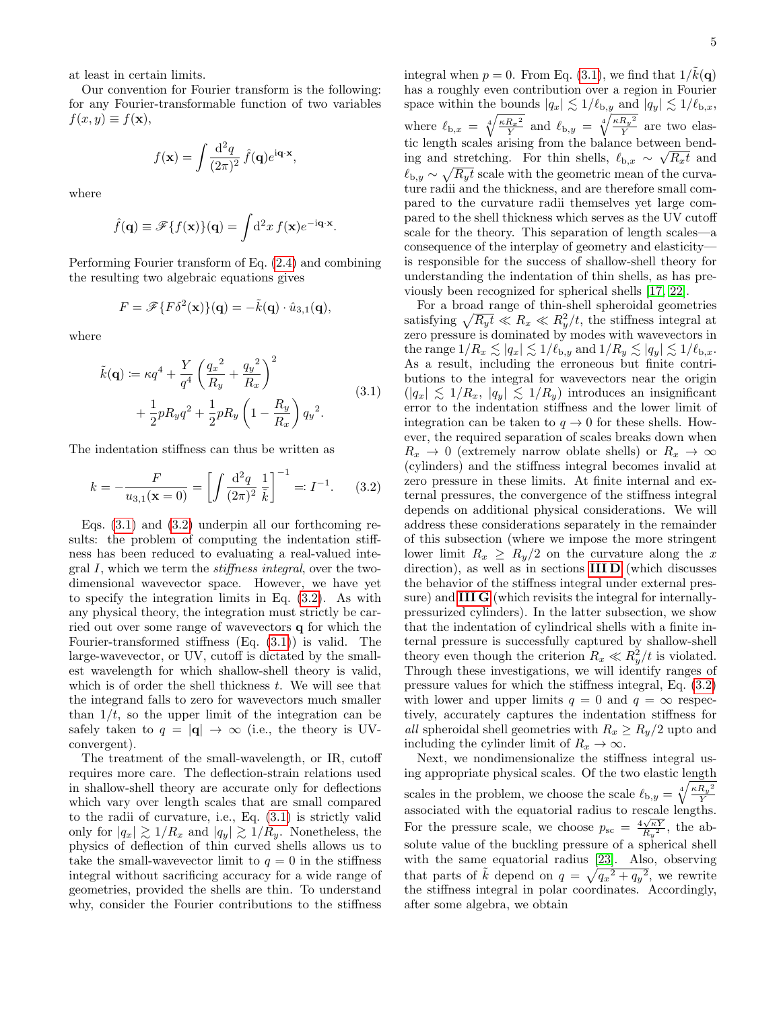at least in certain limits.

Our convention for Fourier transform is the following: for any Fourier-transformable function of two variables  $f(x, y) \equiv f(\mathbf{x}),$ 

$$
f(\mathbf{x}) = \int \frac{\mathrm{d}^2 q}{(2\pi)^2} \hat{f}(\mathbf{q}) e^{\mathrm{i}\mathbf{q}\cdot\mathbf{x}},
$$

where

$$
\hat{f}(\mathbf{q}) \equiv \mathscr{F}\{f(\mathbf{x})\}(\mathbf{q}) = \int d^2x \, f(\mathbf{x}) e^{-i\mathbf{q} \cdot \mathbf{x}}
$$

.

Performing Fourier transform of Eq. [\(2.4\)](#page-3-2) and combining the resulting two algebraic equations gives

$$
F = \mathscr{F}\lbrace F\delta^2(\mathbf{x})\rbrace(\mathbf{q}) = -\tilde{k}(\mathbf{q}) \cdot \hat{u}_{3,1}(\mathbf{q}),
$$

where

$$
\tilde{k}(\mathbf{q}) := \kappa q^4 + \frac{Y}{q^4} \left(\frac{q_x^2}{R_y} + \frac{q_y^2}{R_x}\right)^2 \n+ \frac{1}{2} p R_y q^2 + \frac{1}{2} p R_y \left(1 - \frac{R_y}{R_x}\right) q_y^2.
$$
\n(3.1)

The indentation stiffness can thus be written as

<span id="page-4-1"></span>
$$
k = -\frac{F}{u_{3,1}(\mathbf{x} = 0)} = \left[ \int \frac{\mathrm{d}^2 q}{(2\pi)^2} \frac{1}{\tilde{k}} \right]^{-1} =: I^{-1}.
$$
 (3.2)

Eqs. [\(3.1\)](#page-4-0) and [\(3.2\)](#page-4-1) underpin all our forthcoming results: the problem of computing the indentation stiffness has been reduced to evaluating a real-valued integral I, which we term the stiffness integral, over the twodimensional wavevector space. However, we have yet to specify the integration limits in Eq. [\(3.2\)](#page-4-1). As with any physical theory, the integration must strictly be carried out over some range of wavevectors q for which the Fourier-transformed stiffness  $(Eq. (3.1))$  $(Eq. (3.1))$  $(Eq. (3.1))$  is valid. The large-wavevector, or UV, cutoff is dictated by the smallest wavelength for which shallow-shell theory is valid, which is of order the shell thickness  $t$ . We will see that the integrand falls to zero for wavevectors much smaller than  $1/t$ , so the upper limit of the integration can be safely taken to  $q = |\mathbf{q}| \to \infty$  (i.e., the theory is UVconvergent).

The treatment of the small-wavelength, or IR, cutoff requires more care. The deflection-strain relations used in shallow-shell theory are accurate only for deflections which vary over length scales that are small compared to the radii of curvature, i.e., Eq. [\(3.1\)](#page-4-0) is strictly valid only for  $|q_x| \gtrsim 1/R_x$  and  $|q_y| \gtrsim 1/R_y$ . Nonetheless, the physics of deflection of thin curved shells allows us to take the small-wavevector limit to  $q = 0$  in the stiffness integral without sacrificing accuracy for a wide range of geometries, provided the shells are thin. To understand why, consider the Fourier contributions to the stiffness

integral when  $p = 0$ . From Eq. [\(3.1\)](#page-4-0), we find that  $1/\tilde{k}(\mathbf{q})$ has a roughly even contribution over a region in Fourier space within the bounds  $|q_x| \lesssim 1/\ell_{\text{b},y}$  and  $|q_y| \lesssim 1/\ell_{\text{b},x}$ , where  $\ell_{b,x} = \sqrt[4]{\frac{\kappa R_x{}^2}{Y}}$  $\frac{R_x^2}{Y}$  and  $\ell_{\text{b},y} = \sqrt[4]{\frac{\kappa R_y^2}{Y}}$  $\frac{\kappa_y}{Y}$  are two elastic length scales arising from the balance between bending and stretching. For thin shells,  $\ell_{b,x} \sim \sqrt{R_x t}$  and  $\ell_{b,y} \sim \sqrt{R_y t}$  scale with the geometric mean of the curvature radii and the thickness, and are therefore small compared to the curvature radii themselves yet large compared to the shell thickness which serves as the UV cutoff scale for the theory. This separation of length scales—a consequence of the interplay of geometry and elasticity is responsible for the success of shallow-shell theory for understanding the indentation of thin shells, as has previously been recognized for spherical shells [\[17,](#page-15-9) [22\]](#page-15-15).

<span id="page-4-0"></span>For a broad range of thin-shell spheroidal geometries satisfying  $\sqrt{R_y t} \ll R_x \ll R_y^2/t$ , the stiffness integral at zero pressure is dominated by modes with wavevectors in the range  $1/R_x \lesssim |q_x| \lesssim 1/\ell_{\text{b},y}$  and  $1/R_y \lesssim |q_y| \lesssim 1/\ell_{\text{b},x}$ . As a result, including the erroneous but finite contributions to the integral for wavevectors near the origin  $(|q_x| \leq 1/R_x, |q_y| \leq 1/R_y)$  introduces an insignificant error to the indentation stiffness and the lower limit of integration can be taken to  $q \to 0$  for these shells. However, the required separation of scales breaks down when  $R_x \rightarrow 0$  (extremely narrow oblate shells) or  $R_x \rightarrow \infty$ (cylinders) and the stiffness integral becomes invalid at zero pressure in these limits. At finite internal and external pressures, the convergence of the stiffness integral depends on additional physical considerations. We will address these considerations separately in the remainder of this subsection (where we impose the more stringent lower limit  $R_x \geq R_y/2$  on the curvature along the x direction), as well as in sections [III D](#page-6-0) (which discusses the behavior of the stiffness integral under external pressure) and [III G](#page-11-0) (which revisits the integral for internallypressurized cylinders). In the latter subsection, we show that the indentation of cylindrical shells with a finite internal pressure is successfully captured by shallow-shell theory even though the criterion  $R_x \ll R_y^2/t$  is violated. Through these investigations, we will identify ranges of pressure values for which the stiffness integral, Eq. [\(3.2\)](#page-4-1) with lower and upper limits  $q = 0$  and  $q = \infty$  respectively, accurately captures the indentation stiffness for all spheroidal shell geometries with  $R_x \ge R_y/2$  upto and including the cylinder limit of  $R_x \to \infty$ .

Next, we nondimensionalize the stiffness integral using appropriate physical scales. Of the two elastic length scales in the problem, we choose the scale  $\ell_{b,y} = \sqrt[4]{\frac{\kappa R_y^2}{Y}}$ Y associated with the equatorial radius to rescale lengths. For the pressure scale, we choose  $p_{\rm sc} = \frac{4\sqrt{\kappa Y}}{R_y^2}$ , the absolute value of the buckling pressure of a spherical shell with the same equatorial radius [\[23\]](#page-15-16). Also, observing that parts of  $\tilde{k}$  depend on  $q = \sqrt{q_x^2 + q_y^2}$ , we rewrite the stiffness integral in polar coordinates. Accordingly, after some algebra, we obtain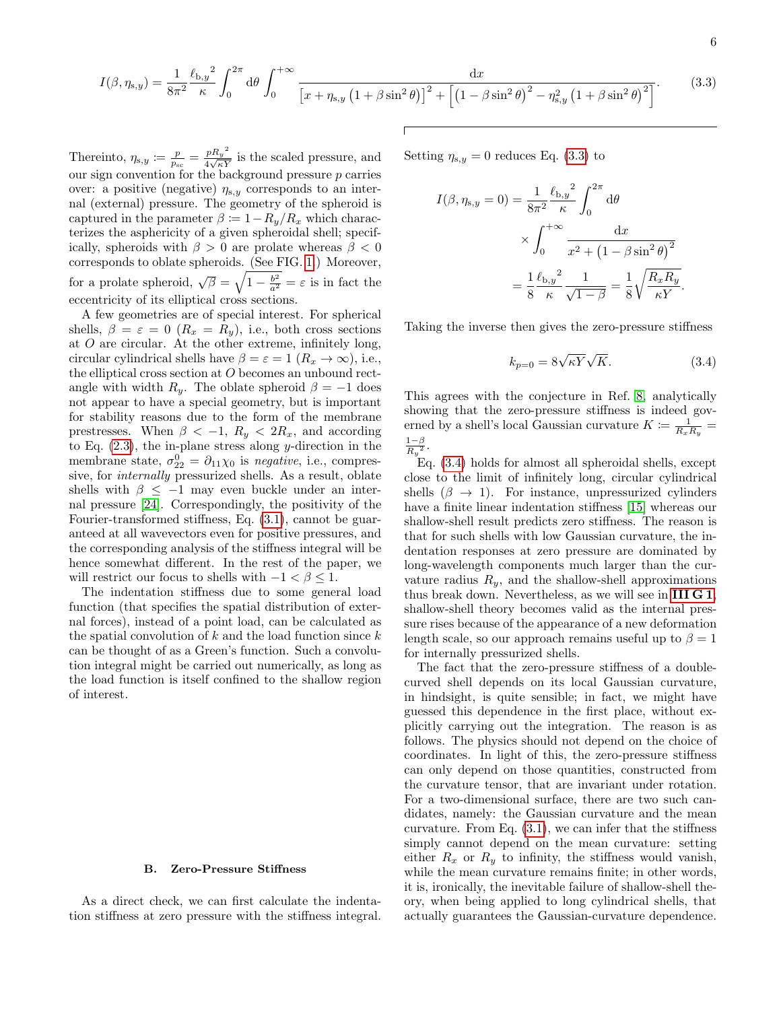<span id="page-5-0"></span>
$$
I(\beta, \eta_{s,y}) = \frac{1}{8\pi^2} \frac{\ell_{b,y}^2}{\kappa} \int_0^{2\pi} d\theta \int_0^{+\infty} \frac{dx}{\left[x + \eta_{s,y} \left(1 + \beta \sin^2 \theta\right)\right]^2 + \left[\left(1 - \beta \sin^2 \theta\right)^2 - \eta_{s,y}^2 \left(1 + \beta \sin^2 \theta\right)^2\right]}.
$$
(3.3)

Thereinto,  $\eta_{s,y} \coloneqq \frac{p}{p_{sc}} = \frac{pR_y^2}{4\sqrt{\kappa Y}}$  $\frac{p_{\mathbf{A}\mathbf{y}}}{4\sqrt{\kappa Y}}$  is the scaled pressure, and our sign convention for the background pressure  $p$  carries over: a positive (negative)  $\eta_{s,y}$  corresponds to an internal (external) pressure. The geometry of the spheroid is captured in the parameter  $\beta \coloneqq 1 - R_y/R_x$  which characterizes the asphericity of a given spheroidal shell; specifically, spheroids with  $\beta > 0$  are prolate whereas  $\beta < 0$ corresponds to oblate spheroids. (See FIG. [1.](#page-1-0)) Moreover, for a prolate spheroid,  $\sqrt{\beta} = \sqrt{1 - \frac{b^2}{a^2}} = \varepsilon$  is in fact the eccentricity of its elliptical cross sections.

A few geometries are of special interest. For spherical shells,  $\beta = \varepsilon = 0$  ( $R_x = R_y$ ), i.e., both cross sections at  $O$  are circular. At the other extreme, infinitely long, circular cylindrical shells have  $\beta = \varepsilon = 1$   $(R_x \to \infty)$ , i.e., the elliptical cross section at O becomes an unbound rectangle with width  $R_y$ . The oblate spheroid  $\beta = -1$  does not appear to have a special geometry, but is important for stability reasons due to the form of the membrane prestresses. When  $\beta < -1$ ,  $R_y < 2R_x$ , and according to Eq.  $(2.3)$ , the in-plane stress along y-direction in the membrane state,  $\sigma_{22}^0 = \partial_{11}\chi_0$  is *negative*, i.e., compressive, for internally pressurized shells. As a result, oblate shells with  $\beta \leq -1$  may even buckle under an internal pressure [\[24\]](#page-15-17). Correspondingly, the positivity of the Fourier-transformed stiffness, Eq. [\(3.1\)](#page-4-0), cannot be guaranteed at all wavevectors even for positive pressures, and the corresponding analysis of the stiffness integral will be hence somewhat different. In the rest of the paper, we will restrict our focus to shells with  $-1 < \beta < 1$ .

The indentation stiffness due to some general load function (that specifies the spatial distribution of external forces), instead of a point load, can be calculated as the spatial convolution of  $k$  and the load function since  $k$ can be thought of as a Green's function. Such a convolution integral might be carried out numerically, as long as the load function is itself confined to the shallow region of interest.

#### <span id="page-5-2"></span>B. Zero-Pressure Stiffness

As a direct check, we can first calculate the indentation stiffness at zero pressure with the stiffness integral. Setting  $\eta_{s,y} = 0$  reduces Eq. [\(3.3\)](#page-5-0) to

$$
I(\beta, \eta_{s,y} = 0) = \frac{1}{8\pi^2} \frac{\ell_{b,y}^2}{\kappa} \int_0^{2\pi} d\theta
$$

$$
\times \int_0^{+\infty} \frac{dx}{x^2 + \left(1 - \beta \sin^2 \theta\right)^2}
$$

$$
= \frac{1}{8} \frac{\ell_{b,y}^2}{\kappa} \frac{1}{\sqrt{1 - \beta}} = \frac{1}{8} \sqrt{\frac{R_x R_y}{\kappa Y}}.
$$

Taking the inverse then gives the zero-pressure stiffness

<span id="page-5-1"></span>
$$
k_{p=0} = 8\sqrt{\kappa Y} \sqrt{K}.
$$
 (3.4)

This agrees with the conjecture in Ref. [8,](#page-15-0) analytically showing that the zero-pressure stiffness is indeed governed by a shell's local Gaussian curvature  $K \coloneqq \frac{1}{R_x R_y}$  $\frac{1-\beta}{R_y^2}$ .

Eq. [\(3.4\)](#page-5-1) holds for almost all spheroidal shells, except close to the limit of infinitely long, circular cylindrical shells  $(\beta \rightarrow 1)$ . For instance, unpressurized cylinders have a finite linear indentation stiffness [\[15\]](#page-15-6) whereas our shallow-shell result predicts zero stiffness. The reason is that for such shells with low Gaussian curvature, the indentation responses at zero pressure are dominated by long-wavelength components much larger than the curvature radius  $R_y$ , and the shallow-shell approximations thus break down. Nevertheless, as we will see in [III G 1](#page-12-0), shallow-shell theory becomes valid as the internal pressure rises because of the appearance of a new deformation length scale, so our approach remains useful up to  $\beta = 1$ for internally pressurized shells.

The fact that the zero-pressure stiffness of a doublecurved shell depends on its local Gaussian curvature, in hindsight, is quite sensible; in fact, we might have guessed this dependence in the first place, without explicitly carrying out the integration. The reason is as follows. The physics should not depend on the choice of coordinates. In light of this, the zero-pressure stiffness can only depend on those quantities, constructed from the curvature tensor, that are invariant under rotation. For a two-dimensional surface, there are two such candidates, namely: the Gaussian curvature and the mean curvature. From Eq.  $(3.1)$ , we can infer that the stiffness simply cannot depend on the mean curvature: setting either  $R_x$  or  $R_y$  to infinity, the stiffness would vanish, while the mean curvature remains finite; in other words, it is, ironically, the inevitable failure of shallow-shell theory, when being applied to long cylindrical shells, that actually guarantees the Gaussian-curvature dependence.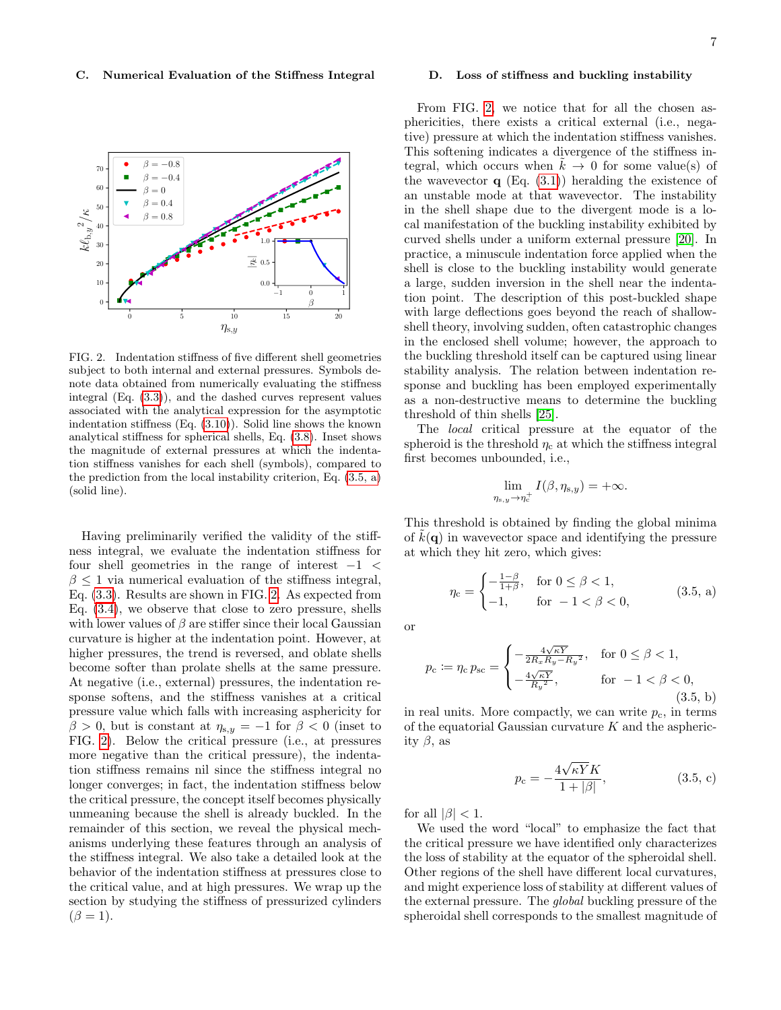#### C. Numerical Evaluation of the Stiffness Integral



<span id="page-6-2"></span>FIG. 2. Indentation stiffness of five different shell geometries subject to both internal and external pressures. Symbols denote data obtained from numerically evaluating the stiffness integral (Eq. [\(3.3\)](#page-5-0)), and the dashed curves represent values associated with the analytical expression for the asymptotic indentation stiffness (Eq. [\(3.10\)](#page-8-0)). Solid line shows the known analytical stiffness for spherical shells, Eq. [\(3.8\)](#page-7-0). Inset shows the magnitude of external pressures at which the indentation stiffness vanishes for each shell (symbols), compared to the prediction from the local instability criterion, Eq. [\(3.5, a\)](#page-6-1) (solid line).

Having preliminarily verified the validity of the stiffness integral, we evaluate the indentation stiffness for four shell geometries in the range of interest  $-1$  <  $\beta \leq 1$  via numerical evaluation of the stiffness integral, Eq. [\(3.3\)](#page-5-0). Results are shown in FIG. [2.](#page-6-2) As expected from Eq. [\(3.4\)](#page-5-1), we observe that close to zero pressure, shells with lower values of  $\beta$  are stiffer since their local Gaussian curvature is higher at the indentation point. However, at higher pressures, the trend is reversed, and oblate shells become softer than prolate shells at the same pressure. At negative (i.e., external) pressures, the indentation response softens, and the stiffness vanishes at a critical pressure value which falls with increasing asphericity for  $\beta > 0$ , but is constant at  $\eta_{s,y} = -1$  for  $\beta < 0$  (inset to FIG. [2\)](#page-6-2). Below the critical pressure (i.e., at pressures more negative than the critical pressure), the indentation stiffness remains nil since the stiffness integral no longer converges; in fact, the indentation stiffness below the critical pressure, the concept itself becomes physically unmeaning because the shell is already buckled. In the remainder of this section, we reveal the physical mechanisms underlying these features through an analysis of the stiffness integral. We also take a detailed look at the behavior of the indentation stiffness at pressures close to the critical value, and at high pressures. We wrap up the section by studying the stiffness of pressurized cylinders  $(\beta = 1).$ 

#### <span id="page-6-0"></span>D. Loss of stiffness and buckling instability

From FIG. [2,](#page-6-2) we notice that for all the chosen asphericities, there exists a critical external (i.e., negative) pressure at which the indentation stiffness vanishes. This softening indicates a divergence of the stiffness integral, which occurs when  $k \to 0$  for some value(s) of the wavevector  $q$  (Eq. [\(3.1\)](#page-4-0)) heralding the existence of an unstable mode at that wavevector. The instability in the shell shape due to the divergent mode is a local manifestation of the buckling instability exhibited by curved shells under a uniform external pressure [\[20\]](#page-15-13). In practice, a minuscule indentation force applied when the shell is close to the buckling instability would generate a large, sudden inversion in the shell near the indentation point. The description of this post-buckled shape with large deflections goes beyond the reach of shallowshell theory, involving sudden, often catastrophic changes in the enclosed shell volume; however, the approach to the buckling threshold itself can be captured using linear stability analysis. The relation between indentation response and buckling has been employed experimentally as a non-destructive means to determine the buckling threshold of thin shells [\[25\]](#page-15-18).

The local critical pressure at the equator of the spheroid is the threshold  $\eta_c$  at which the stiffness integral first becomes unbounded, i.e.,

<span id="page-6-4"></span><span id="page-6-1"></span>
$$
\lim_{\eta_{s,y}\to\eta_c^+} I(\beta,\eta_{s,y})=+\infty.
$$

This threshold is obtained by finding the global minima of  $k(\mathbf{q})$  in wavevector space and identifying the pressure at which they hit zero, which gives:

<span id="page-6-5"></span>
$$
\eta_{\rm c} = \begin{cases}\n-\frac{1-\beta}{1+\beta}, & \text{for } 0 \le \beta < 1, \\
-1, & \text{for } -1 < \beta < 0,\n\end{cases} \tag{3.5, a}
$$

or

$$
p_{\rm c} := \eta_{\rm c} p_{\rm sc} = \begin{cases} -\frac{4\sqrt{\kappa Y}}{2R_x R_y - R_y^2}, & \text{for } 0 \le \beta < 1, \\ -\frac{4\sqrt{\kappa Y}}{R_y^2}, & \text{for } -1 < \beta < 0, \\ (3.5, \, \mathbf{b}) \end{cases}
$$

in real units. More compactly, we can write  $p_c$ , in terms of the equatorial Gaussian curvature  $K$  and the asphericity  $\beta$ , as

<span id="page-6-3"></span>
$$
p_c = -\frac{4\sqrt{\kappa Y}K}{1+|\beta|},\tag{3.5, c}
$$

for all  $|\beta|$  < 1.

We used the word "local" to emphasize the fact that the critical pressure we have identified only characterizes the loss of stability at the equator of the spheroidal shell. Other regions of the shell have different local curvatures, and might experience loss of stability at different values of the external pressure. The global buckling pressure of the spheroidal shell corresponds to the smallest magnitude of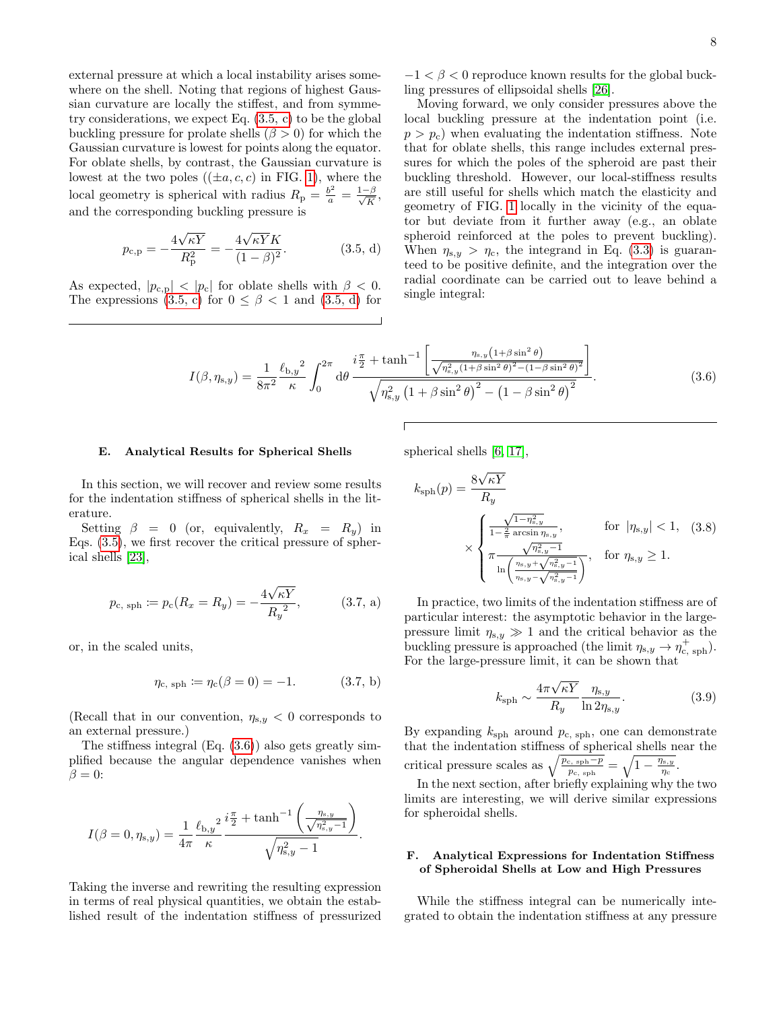external pressure at which a local instability arises somewhere on the shell. Noting that regions of highest Gaussian curvature are locally the stiffest, and from symmetry considerations, we expect Eq. [\(3.5, c\)](#page-6-3) to be the global buckling pressure for prolate shells  $(\beta > 0)$  for which the Gaussian curvature is lowest for points along the equator. For oblate shells, by contrast, the Gaussian curvature is lowest at the two poles  $((\pm a, c, c)$  in FIG. [1\)](#page-1-0), where the local geometry is spherical with radius  $R_p = \frac{b^2}{a} = \frac{1-\beta}{\sqrt{K}}$ , and the corresponding buckling pressure is

$$
p_{c,p} = -\frac{4\sqrt{\kappa Y}}{R_p^2} = -\frac{4\sqrt{\kappa Y}K}{(1-\beta)^2}.
$$
 (3.5, d)

As expected,  $|p_{c,p}| < |p_c|$  for oblate shells with  $\beta < 0$ . The expressions  $(3.5, c)$  for  $0 \le \beta < 1$  and  $(3.5, d)$  for

 $-1 < \beta < 0$  reproduce known results for the global buckling pressures of ellipsoidal shells [\[26\]](#page-15-19).

<span id="page-7-1"></span>Moving forward, we only consider pressures above the local buckling pressure at the indentation point (i.e.  $p > p_c$ ) when evaluating the indentation stiffness. Note that for oblate shells, this range includes external pressures for which the poles of the spheroid are past their buckling threshold. However, our local-stiffness results are still useful for shells which match the elasticity and geometry of FIG. [1](#page-1-0) locally in the vicinity of the equator but deviate from it further away (e.g., an oblate spheroid reinforced at the poles to prevent buckling). When  $\eta_{s,y} > \eta_c$ , the integrand in Eq. [\(3.3\)](#page-5-0) is guaranteed to be positive definite, and the integration over the radial coordinate can be carried out to leave behind a single integral:

$$
I(\beta, \eta_{\text{s},y}) = \frac{1}{8\pi^2} \frac{\ell_{\text{b},y}^2}{\kappa} \int_0^{2\pi} d\theta \, \frac{i\frac{\pi}{2} + \tanh^{-1} \left[ \frac{\eta_{\text{s},y} (1+\beta \sin^2 \theta)}{\sqrt{\eta_{\text{s},y}^2 (1+\beta \sin^2 \theta)^2 - (1-\beta \sin^2 \theta)^2}} \right]}{\sqrt{\eta_{\text{s},y}^2 \left(1 + \beta \sin^2 \theta\right)^2 - \left(1 - \beta \sin^2 \theta\right)^2}}.
$$
\n(3.6)

#### <span id="page-7-3"></span>E. Analytical Results for Spherical Shells

spherical shells [\[6,](#page-15-8) [17\]](#page-15-9),

In this section, we will recover and review some results for the indentation stiffness of spherical shells in the literature.

Setting  $\beta = 0$  (or, equivalently,  $R_x = R_y$ ) in Eqs. [\(3.5\)](#page-6-4), we first recover the critical pressure of spherical shells [\[23\]](#page-15-16),

<span id="page-7-0"></span>
$$
p_{\rm c, sph} := p_{\rm c}(R_x = R_y) = -\frac{4\sqrt{\kappa Y}}{R_y^2},
$$
 (3.7, a)

or, in the scaled units,

$$
\eta_{\rm c, sph} := \eta_{\rm c}(\beta = 0) = -1. \tag{3.7, b}
$$

(Recall that in our convention,  $\eta_{s,y} < 0$  corresponds to an external pressure.)

The stiffness integral (Eq. [\(3.6\)](#page-6-5)) also gets greatly simplified because the angular dependence vanishes when  $\beta = 0$ :

$$
I(\beta = 0, \eta_{s,y}) = \frac{1}{4\pi} \frac{\ell_{b,y}^2}{\kappa} \frac{i\frac{\pi}{2} + \tanh^{-1}\left(\frac{\eta_{s,y}}{\sqrt{\eta_{s,y}^2 - 1}}\right)}{\sqrt{\eta_{s,y}^2 - 1}}.
$$

Taking the inverse and rewriting the resulting expression in terms of real physical quantities, we obtain the established result of the indentation stiffness of pressurized

$$
k_{\rm sph}(p) = \frac{8\sqrt{\kappa Y}}{R_y} \times \begin{cases} \frac{\sqrt{1-\eta_{s,y}^2}}{1-\frac{2}{\pi}\arcsin\eta_{s,y}}, & \text{for } |\eta_{s,y}| < 1, (3.8) \\ \pi \frac{\sqrt{\eta_{s,y}^2-1}}{\ln\left(\frac{\eta_{s,y} + \sqrt{\eta_{s,y}^2-1}}{\eta_{s,y} - \sqrt{\eta_{s,y}^2}\right)}}, & \text{for } \eta_{s,y} \ge 1. \end{cases}
$$

In practice, two limits of the indentation stiffness are of particular interest: the asymptotic behavior in the largepressure limit  $\eta_{s,y} \gg 1$  and the critical behavior as the buckling pressure is approached (the limit  $\eta_{s,y} \to \eta_{c, \text{sph}}^+$ ). For the large-pressure limit, it can be shown that

<span id="page-7-2"></span>
$$
k_{\rm sph} \sim \frac{4\pi\sqrt{\kappa Y}}{R_y} \frac{\eta_{s,y}}{\ln 2\eta_{s,y}}.\tag{3.9}
$$

By expanding  $k_{\rm sph}$  around  $p_{\rm c, sph}$ , one can demonstrate that the indentation stiffness of spherical shells near the critical pressure scales as  $\sqrt{\frac{p_{c,\text{ sph}}-p}{p_{c,\text{ sph}}}} = \sqrt{1-\frac{\eta_{s,y}}{\eta_c}}$  $\frac{\ln,y}{\eta_{\rm c}}$  .

In the next section, after briefly explaining why the two limits are interesting, we will derive similar expressions for spheroidal shells.

### F. Analytical Expressions for Indentation Stiffness of Spheroidal Shells at Low and High Pressures

While the stiffness integral can be numerically integrated to obtain the indentation stiffness at any pressure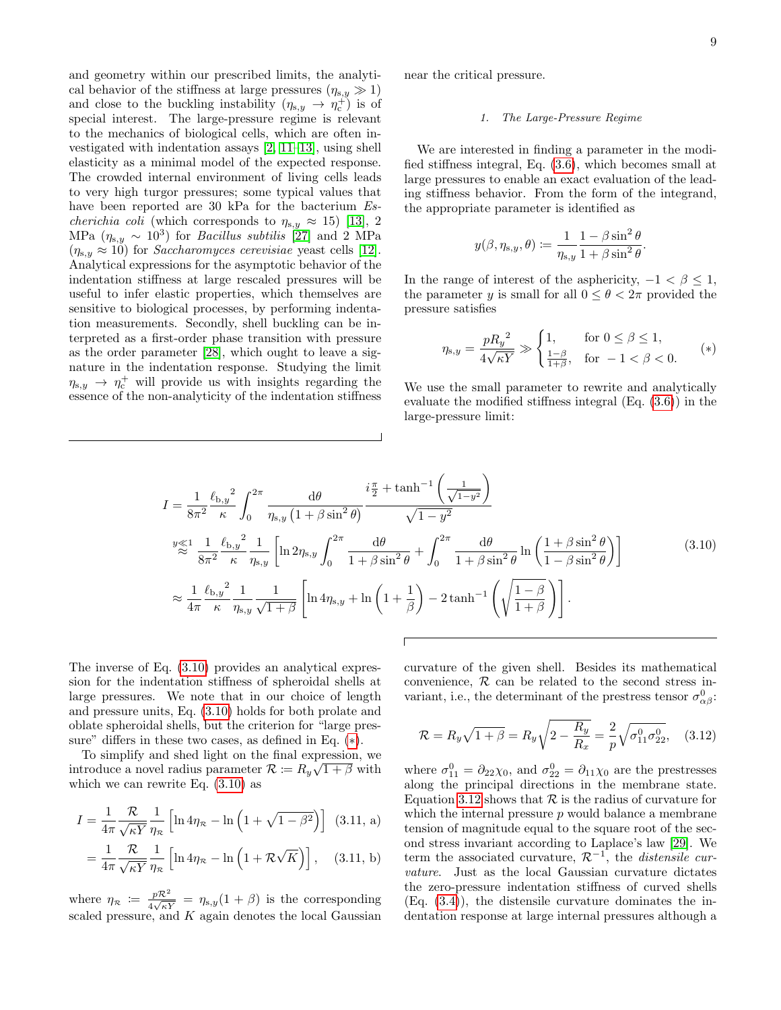and geometry within our prescribed limits, the analytical behavior of the stiffness at large pressures  $(\eta_{s,y} \gg 1)$ and close to the buckling instability  $(\eta_{s,y} \to \eta_c^+)$  is of special interest. The large-pressure regime is relevant to the mechanics of biological cells, which are often investigated with indentation assays [\[2,](#page-14-1) [11–](#page-15-3)[13\]](#page-15-4), using shell elasticity as a minimal model of the expected response. The crowded internal environment of living cells leads to very high turgor pressures; some typical values that have been reported are 30 kPa for the bacterium  $Es$ *cherichia coli* (which corresponds to  $\eta_{s,y} \approx 15$ ) [\[13\]](#page-15-4), 2 MPa  $(\eta_{s,y} \sim 10^3)$  for *Bacillus subtilis* [\[27\]](#page-15-20) and 2 MPa  $(\eta_{s,y} \approx 10)$  for *Saccharomyces cerevisiae* yeast cells [\[12\]](#page-15-21). Analytical expressions for the asymptotic behavior of the indentation stiffness at large rescaled pressures will be useful to infer elastic properties, which themselves are sensitive to biological processes, by performing indentation measurements. Secondly, shell buckling can be interpreted as a first-order phase transition with pressure as the order parameter [\[28\]](#page-15-22), which ought to leave a signature in the indentation response. Studying the limit  $\eta_{s,y} \rightarrow \eta_c^+$  will provide us with insights regarding the essence of the non-analyticity of the indentation stiffness

near the critical pressure.

### <span id="page-8-6"></span>1. The Large-Pressure Regime

We are interested in finding a parameter in the modified stiffness integral, Eq. [\(3.6\)](#page-6-5), which becomes small at large pressures to enable an exact evaluation of the leading stiffness behavior. From the form of the integrand, the appropriate parameter is identified as

<span id="page-8-1"></span>
$$
y(\beta, \eta_{\mathrm{s},y}, \theta) \coloneqq \frac{1}{\eta_{\mathrm{s},y}} \frac{1 - \beta \sin^2 \theta}{1 + \beta \sin^2 \theta}.
$$

In the range of interest of the asphericity,  $-1 < \beta \leq 1$ , the parameter y is small for all  $0 \le \theta < 2\pi$  provided the pressure satisfies

<span id="page-8-0"></span>
$$
\eta_{s,y} = \frac{p R_y^2}{4\sqrt{\kappa Y}} \gg \begin{cases} 1, & \text{for } 0 \le \beta \le 1, \\ \frac{1-\beta}{1+\beta}, & \text{for } -1 < \beta < 0. \end{cases} \tag{*}
$$

We use the small parameter to rewrite and analytically evaluate the modified stiffness integral (Eq. [\(3.6\)](#page-6-5)) in the large-pressure limit:

$$
I = \frac{1}{8\pi^2} \frac{\ell_{b,y}^2}{\kappa} \int_0^{2\pi} \frac{d\theta}{\eta_{s,y} (1+\beta \sin^2 \theta)} \frac{i\frac{\pi}{2} + \tanh^{-1} \left(\frac{1}{\sqrt{1-y^2}}\right)}{\sqrt{1-y^2}}
$$
  
\n
$$
\stackrel{y \ll 1}{\approx} \frac{1}{8\pi^2} \frac{\ell_{b,y}^2}{\kappa} \frac{1}{\eta_{s,y}} \left[ \ln 2\eta_{s,y} \int_0^{2\pi} \frac{d\theta}{1+\beta \sin^2 \theta} + \int_0^{2\pi} \frac{d\theta}{1+\beta \sin^2 \theta} \ln \left(\frac{1+\beta \sin^2 \theta}{1-\beta \sin^2 \theta}\right) \right]
$$
  
\n
$$
\approx \frac{1}{4\pi} \frac{\ell_{b,y}^2}{\kappa} \frac{1}{\eta_{s,y}} \frac{1}{\sqrt{1+\beta}} \left[ \ln 4\eta_{s,y} + \ln \left(1+\frac{1}{\beta}\right) - 2 \tanh^{-1} \left(\sqrt{\frac{1-\beta}{1+\beta}}\right) \right].
$$
 (3.10)

The inverse of Eq. [\(3.10\)](#page-8-0) provides an analytical expression for the indentation stiffness of spheroidal shells at large pressures. We note that in our choice of length and pressure units, Eq. [\(3.10\)](#page-8-0) holds for both prolate and oblate spheroidal shells, but the criterion for "large pressure" differs in these two cases, as defined in Eq.  $(*)$ .

To simplify and shed light on the final expression, we introduce a novel radius parameter  $\mathcal{R} \coloneqq R_y \sqrt{1+\beta}$  with which we can rewrite Eq.  $(3.10)$  as

$$
I = \frac{1}{4\pi} \frac{\mathcal{R}}{\sqrt{\kappa Y}} \frac{1}{\eta_{\kappa}} \left[ \ln 4\eta_{\kappa} - \ln \left( 1 + \sqrt{1 - \beta^2} \right) \right]
$$
 (3.11, a)

$$
= \frac{1}{4\pi} \frac{\mathcal{R}}{\sqrt{\kappa Y}} \frac{1}{\eta_{\kappa}} \left[ \ln 4\eta_{\kappa} - \ln \left( 1 + \mathcal{R}\sqrt{K} \right) \right], \quad (3.11, b)
$$

where  $\eta_{\mathcal{R}} := \frac{p\mathcal{R}^2}{4\sqrt{\kappa Y}} = \eta_{s,y}(1+\beta)$  is the corresponding scaled pressure, and  $K$  again denotes the local Gaussian curvature of the given shell. Besides its mathematical convenience,  $\mathcal R$  can be related to the second stress invariant, i.e., the determinant of the prestress tensor  $\sigma_{\alpha\beta}^0$ :

<span id="page-8-2"></span>
$$
\mathcal{R} = R_y \sqrt{1 + \beta} = R_y \sqrt{2 - \frac{R_y}{R_x}} = \frac{2}{p} \sqrt{\sigma_{11}^0 \sigma_{22}^0}, \quad (3.12)
$$

<span id="page-8-5"></span><span id="page-8-4"></span><span id="page-8-3"></span>where  $\sigma_{11}^0 = \partial_{22}\chi_0$ , and  $\sigma_{22}^0 = \partial_{11}\chi_0$  are the prestresses along the principal directions in the membrane state. Equation [3.12](#page-8-2) shows that  $R$  is the radius of curvature for which the internal pressure  $p$  would balance a membrane tension of magnitude equal to the square root of the second stress invariant according to Laplace's law [\[29\]](#page-15-23). We term the associated curvature,  $\mathcal{R}^{-1}$ , the *distensile cur*vature. Just as the local Gaussian curvature dictates the zero-pressure indentation stiffness of curved shells (Eq. [\(3.4\)](#page-5-1)), the distensile curvature dominates the indentation response at large internal pressures although a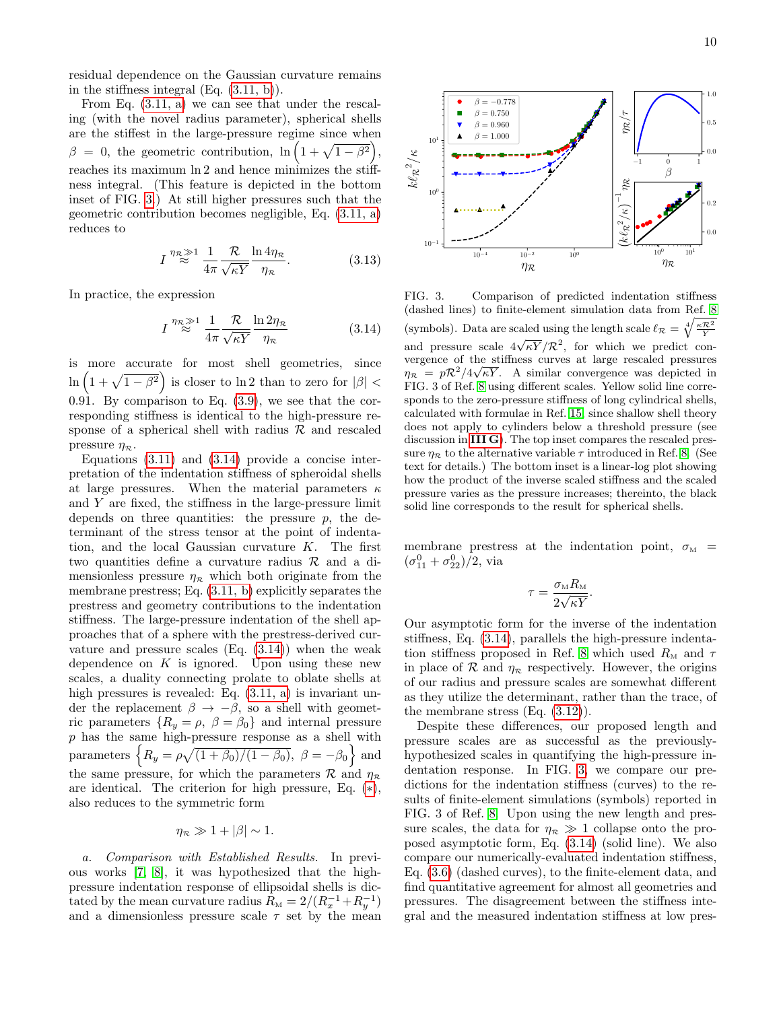residual dependence on the Gaussian curvature remains in the stiffness integral  $(Eq. (3.11, b))$  $(Eq. (3.11, b))$  $(Eq. (3.11, b))$ .

From Eq. [\(3.11, a\)](#page-8-4) we can see that under the rescaling (with the novel radius parameter), spherical shells are the stiffest in the large-pressure regime since when  $\beta = 0$ , the geometric contribution,  $\ln \left(1 + \sqrt{1 - \beta^2}\right)$ , reaches its maximum ln 2 and hence minimizes the stiffness integral. (This feature is depicted in the bottom inset of FIG. [3.](#page-9-0)) At still higher pressures such that the geometric contribution becomes negligible, Eq. [\(3.11, a\)](#page-8-4) reduces to

<span id="page-9-2"></span>
$$
I^{\eta_{\mathcal{R}} \underset{\infty}{\gg} 1} \frac{1}{4\pi} \frac{\mathcal{R}}{\sqrt{\kappa Y}} \frac{\ln 4\eta_{\mathcal{R}}}{\eta_{\mathcal{R}}}.
$$
 (3.13)

In practice, the expression

<span id="page-9-1"></span>
$$
I \stackrel{\eta_{\mathcal{R}} \gg 1}{\approx} \frac{1}{4\pi} \frac{\mathcal{R}}{\sqrt{\kappa Y}} \frac{\ln 2\eta_{\mathcal{R}}}{\eta_{\mathcal{R}}} \tag{3.14}
$$

is more accurate for most shell geometries, since  $\ln\left(1+\sqrt{1-\beta^2}\right)$  is closer to ln 2 than to zero for  $|\beta|$  < 0.91. By comparison to Eq. [\(3.9\)](#page-7-2), we see that the corresponding stiffness is identical to the high-pressure response of a spherical shell with radius  $\mathcal R$  and rescaled pressure  $\eta_{\mathcal{R}}$ .

Equations [\(3.11\)](#page-8-5) and [\(3.14\)](#page-9-1) provide a concise interpretation of the indentation stiffness of spheroidal shells at large pressures. When the material parameters  $\kappa$ and  $Y$  are fixed, the stiffness in the large-pressure limit depends on three quantities: the pressure  $p$ , the determinant of the stress tensor at the point of indentation, and the local Gaussian curvature  $K$ . The first two quantities define a curvature radius  $\mathcal{R}$  and a dimensionless pressure  $\eta_{\mathcal{R}}$  which both originate from the membrane prestress; Eq. [\(3.11, b\)](#page-8-3) explicitly separates the prestress and geometry contributions to the indentation stiffness. The large-pressure indentation of the shell approaches that of a sphere with the prestress-derived curvature and pressure scales  $(Eq. (3.14))$  $(Eq. (3.14))$  $(Eq. (3.14))$  when the weak dependence on  $K$  is ignored. Upon using these new scales, a duality connecting prolate to oblate shells at high pressures is revealed: Eq.  $(3.11, a)$  is invariant under the replacement  $\beta \rightarrow -\beta$ , so a shell with geometric parameters  $\{R_y = \rho, \ \beta = \beta_0\}$  and internal pressure p has the same high-pressure response as a shell with parameters  $\left\{ R_y = \rho \sqrt{\frac{1 + \beta_0}{1 - \beta_0}}, \ \beta = -\beta_0 \right\}$  and the same pressure, for which the parameters  $\mathcal{R}$  and  $\eta_{\mathcal{R}}$ are identical. The criterion for high pressure, Eq. ([∗](#page-8-1)), also reduces to the symmetric form

 $\eta_{\mathcal{P}} \gg 1 + |\beta| \sim 1.$ 

a. Comparison with Established Results. In previous works [\[7,](#page-15-10) [8\]](#page-15-0), it was hypothesized that the highpressure indentation response of ellipsoidal shells is dictated by the mean curvature radius  $R_M = 2/(R_x^{-1} + R_y^{-1})$ and a dimensionless pressure scale  $\tau$  set by the mean



<span id="page-9-0"></span>FIG. 3. Comparison of predicted indentation stiffness (dashed lines) to finite-element simulation data from Ref. [8](#page-15-0) (symbols). Data are scaled using the length scale  $\ell_{\mathcal{R}} = \sqrt[4]{\frac{\kappa \mathcal{R}^2}{Y}}$ and pressure scale  $4\sqrt{\kappa Y}/\mathcal{R}^2$ , for which we predict convergence of the stiffness curves at large rescaled pressures  $\eta_{\mathcal{R}} = p \mathcal{R}^2/4\sqrt{\kappa Y}$ . A similar convergence was depicted in FIG. 3 of Ref. [8](#page-15-0) using different scales. Yellow solid line corresponds to the zero-pressure stiffness of long cylindrical shells, calculated with formulae in Ref. [15,](#page-15-6) since shallow shell theory does not apply to cylinders below a threshold pressure (see discussion in **[III G](#page-11-0)**). The top inset compares the rescaled pressure  $\eta_{\mathcal{R}}$  to the alternative variable  $\tau$  introduced in Ref. [8.](#page-15-0) (See text for details.) The bottom inset is a linear-log plot showing how the product of the inverse scaled stiffness and the scaled pressure varies as the pressure increases; thereinto, the black solid line corresponds to the result for spherical shells.

membrane prestress at the indentation point,  $\sigma_{\text{M}}$  =  $(\sigma_{11}^0 + \sigma_{22}^0)/2$ , via

$$
\tau = \frac{\sigma_{\text{M}} R_{\text{M}}}{2\sqrt{\kappa Y}}.
$$

Our asymptotic form for the inverse of the indentation stiffness, Eq. [\(3.14\)](#page-9-1), parallels the high-pressure indenta-tion stiffness proposed in Ref. [8](#page-15-0) which used  $R_{\text{M}}$  and  $\tau$ in place of  $\mathcal R$  and  $\eta_{\mathcal R}$  respectively. However, the origins of our radius and pressure scales are somewhat different as they utilize the determinant, rather than the trace, of the membrane stress  $(Eq. (3.12))$  $(Eq. (3.12))$  $(Eq. (3.12))$ .

Despite these differences, our proposed length and pressure scales are as successful as the previouslyhypothesized scales in quantifying the high-pressure indentation response. In FIG. [3,](#page-9-0) we compare our predictions for the indentation stiffness (curves) to the results of finite-element simulations (symbols) reported in FIG. 3 of Ref. [8.](#page-15-0) Upon using the new length and pressure scales, the data for  $\eta_{\mathcal{R}} \gg 1$  collapse onto the proposed asymptotic form, Eq. [\(3.14\)](#page-9-1) (solid line). We also compare our numerically-evaluated indentation stiffness, Eq. [\(3.6\)](#page-6-5) (dashed curves), to the finite-element data, and find quantitative agreement for almost all geometries and pressures. The disagreement between the stiffness integral and the measured indentation stiffness at low pres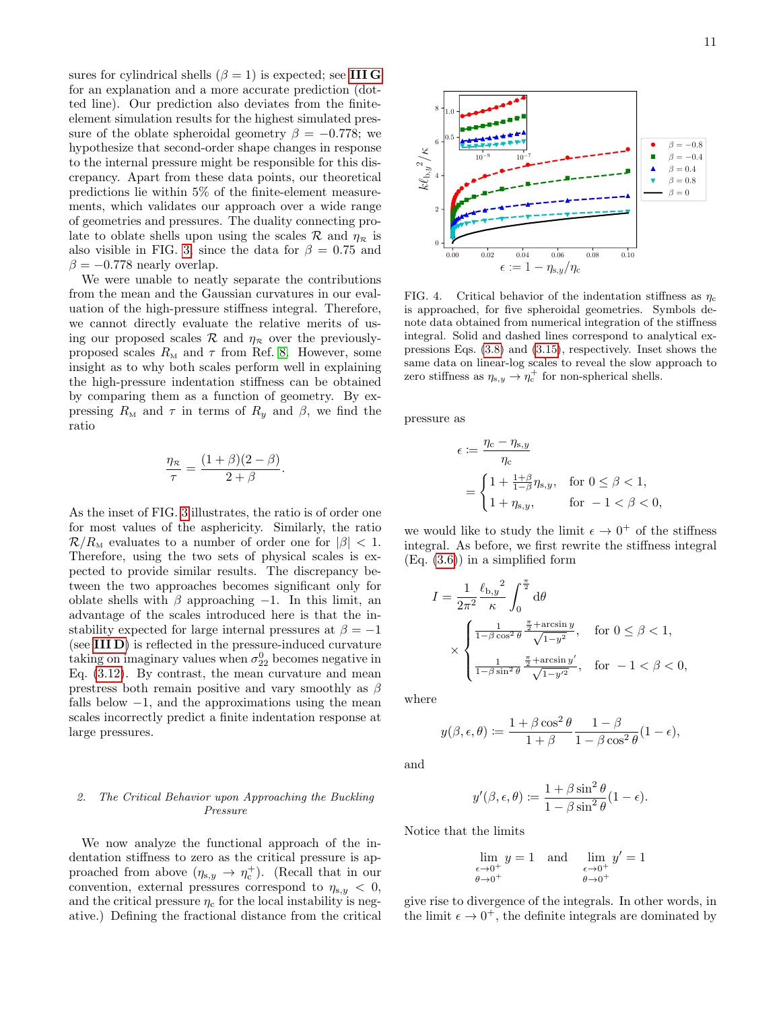sures for cylindrical shells ( $\beta = 1$ ) is expected; see [III G](#page-11-0) for an explanation and a more accurate prediction (dotted line). Our prediction also deviates from the finiteelement simulation results for the highest simulated pressure of the oblate spheroidal geometry  $\beta = -0.778$ ; we hypothesize that second-order shape changes in response to the internal pressure might be responsible for this discrepancy. Apart from these data points, our theoretical predictions lie within 5% of the finite-element measurements, which validates our approach over a wide range of geometries and pressures. The duality connecting prolate to oblate shells upon using the scales  $\mathcal{R}$  and  $\eta_{\mathcal{R}}$  is also visible in FIG. [3,](#page-9-0) since the data for  $\beta = 0.75$  and  $\beta = -0.778$  nearly overlap.

We were unable to neatly separate the contributions from the mean and the Gaussian curvatures in our evaluation of the high-pressure stiffness integral. Therefore, we cannot directly evaluate the relative merits of using our proposed scales  $\mathcal R$  and  $\eta_{\mathcal R}$  over the previouslyproposed scales  $R_{\rm M}$  and  $\tau$  from Ref. [8.](#page-15-0) However, some insight as to why both scales perform well in explaining the high-pressure indentation stiffness can be obtained by comparing them as a function of geometry. By expressing  $R_M$  and  $\tau$  in terms of  $R_y$  and  $\beta$ , we find the ratio

$$
\frac{\eta_{\mathcal{R}}}{\tau} = \frac{(1+\beta)(2-\beta)}{2+\beta}.
$$

As the inset of FIG. [3](#page-9-0) illustrates, the ratio is of order one for most values of the asphericity. Similarly, the ratio  $\mathcal{R}/R_{\rm M}$  evaluates to a number of order one for  $|\beta|$  < 1. Therefore, using the two sets of physical scales is expected to provide similar results. The discrepancy between the two approaches becomes significant only for oblate shells with  $\beta$  approaching −1. In this limit, an advantage of the scales introduced here is that the instability expected for large internal pressures at  $\beta = -1$ (see [III D](#page-6-0)) is reflected in the pressure-induced curvature taking on imaginary values when  $\sigma_{22}^0$  becomes negative in Eq. [\(3.12\)](#page-8-2). By contrast, the mean curvature and mean prestress both remain positive and vary smoothly as  $\beta$ falls below  $-1$ , and the approximations using the mean scales incorrectly predict a finite indentation response at large pressures.

## <span id="page-10-1"></span>2. The Critical Behavior upon Approaching the Buckling Pressure

We now analyze the functional approach of the indentation stiffness to zero as the critical pressure is approached from above  $(\eta_{s,y} \to \eta_c^+)$ . (Recall that in our convention, external pressures correspond to  $\eta_{s,y} < 0$ , and the critical pressure  $\eta_c$  for the local instability is negative.) Defining the fractional distance from the critical



<span id="page-10-0"></span>FIG. 4. Critical behavior of the indentation stiffness as  $\eta_c$ is approached, for five spheroidal geometries. Symbols denote data obtained from numerical integration of the stiffness integral. Solid and dashed lines correspond to analytical expressions Eqs. [\(3.8\)](#page-7-0) and [\(3.15\)](#page-11-1), respectively. Inset shows the same data on linear-log scales to reveal the slow approach to zero stiffness as  $\eta_{s,y} \to \eta_c^+$  for non-spherical shells.

pressure as

$$
\epsilon := \frac{\eta_c - \eta_{s,y}}{\eta_c}
$$
  
= 
$$
\begin{cases} 1 + \frac{1+\beta}{1-\beta}\eta_{s,y}, & \text{for } 0 \le \beta < 1, \\ 1 + \eta_{s,y}, & \text{for } -1 < \beta < 0, \end{cases}
$$

we would like to study the limit  $\epsilon \to 0^+$  of the stiffness integral. As before, we first rewrite the stiffness integral  $(Eq. (3.6))$  $(Eq. (3.6))$  $(Eq. (3.6))$  in a simplified form

$$
\begin{split} I&=\frac{1}{2\pi^2}\frac{\ell_{\mathrm{b},y}^2}{\kappa}\int_0^{\frac{\pi}{2}}\mathrm{d}\theta\\ &\times\begin{cases} \frac{1}{1-\beta\cos^2\theta}\frac{\frac{\pi}{2}+\arcsin y}{\sqrt{1-y^2}},\quad\text{for }0\le\beta<1,\\ \frac{1}{1-\beta\sin^2\theta}\frac{\frac{\pi}{2}+\arcsin y'}{\sqrt{1-y'^2}},\quad\text{for }-1<\beta<0, \end{cases} \end{split}
$$

where

$$
y(\beta, \epsilon, \theta) \coloneqq \frac{1 + \beta \cos^2 \theta}{1 + \beta} \frac{1 - \beta}{1 - \beta \cos^2 \theta} (1 - \epsilon),
$$

and

$$
y'(\beta, \epsilon, \theta) := \frac{1 + \beta \sin^2 \theta}{1 - \beta \sin^2 \theta} (1 - \epsilon).
$$

Notice that the limits

$$
\lim_{\substack{\epsilon \to 0^+ \\ \theta \to 0^+}} y = 1 \quad \text{and} \quad \lim_{\substack{\epsilon \to 0^+ \\ \theta \to 0^+}} y' = 1
$$

give rise to divergence of the integrals. In other words, in the limit  $\epsilon \to 0^+$ , the definite integrals are dominated by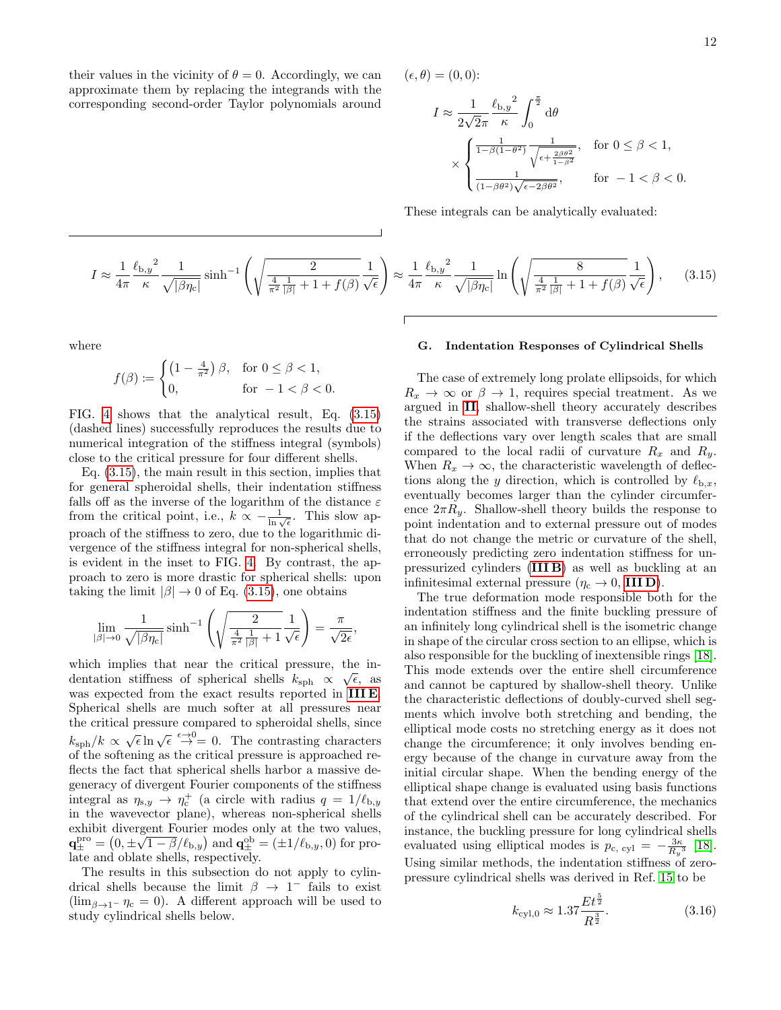12

their values in the vicinity of  $\theta = 0$ . Accordingly, we can approximate them by replacing the integrands with the corresponding second-order Taylor polynomials around  $(\epsilon, \theta) = (0, 0)$ :

$$
\begin{split} I &\approx \frac{1}{2\sqrt{2}\pi}\frac{\ell_{\text{b},y}^2}{\kappa}\int_0^{\frac{\pi}{2}}\mathrm{d}\theta\\ &\times\begin{cases} \frac{1}{1-\beta(1-\theta^2)}\frac{1}{\sqrt{\epsilon+\frac{2\beta\theta^2}{1-\beta^2}}}, & \text{for } 0\leq\beta<1,\\ \frac{1}{(1-\beta\theta^2)\sqrt{\epsilon-2\beta\theta^2}}, & \text{for } -1<\beta<0. \end{cases} \end{split}
$$

These integrals can be analytically evaluated:

<span id="page-11-1"></span>
$$
I \approx \frac{1}{4\pi} \frac{\ell_{\text{b},y}^2}{\kappa} \frac{1}{\sqrt{|\beta\eta_c|}} \sinh^{-1}\left(\sqrt{\frac{2}{\frac{4}{\pi^2} \frac{1}{|\beta|} + 1 + f(\beta)}} \frac{1}{\sqrt{\epsilon}}\right) \approx \frac{1}{4\pi} \frac{\ell_{\text{b},y}^2}{\kappa} \frac{1}{\sqrt{|\beta\eta_c|}} \ln\left(\sqrt{\frac{8}{\frac{4}{\pi^2} \frac{1}{|\beta|} + 1 + f(\beta)}} \frac{1}{\sqrt{\epsilon}}\right),\tag{3.15}
$$

where

$$
f(\beta) := \begin{cases} \left(1 - \frac{4}{\pi^2}\right)\beta, & \text{for } 0 \le \beta < 1, \\ 0, & \text{for } -1 < \beta < 0. \end{cases}
$$

FIG. [4](#page-10-0) shows that the analytical result, Eq. [\(3.15\)](#page-11-1) (dashed lines) successfully reproduces the results due to numerical integration of the stiffness integral (symbols) close to the critical pressure for four different shells.

Eq. [\(3.15\)](#page-11-1), the main result in this section, implies that for general spheroidal shells, their indentation stiffness falls off as the inverse of the logarithm of the distance  $\varepsilon$ from the critical point, i.e.,  $k \propto -\frac{1}{\ln \sqrt{\epsilon}}$ . This slow approach of the stiffness to zero, due to the logarithmic divergence of the stiffness integral for non-spherical shells, is evident in the inset to FIG. [4.](#page-10-0) By contrast, the approach to zero is more drastic for spherical shells: upon taking the limit  $|\beta| \to 0$  of Eq. [\(3.15\)](#page-11-1), one obtains

$$
\lim_{|\beta| \to 0} \frac{1}{\sqrt{|\beta \eta_c|}} \sinh^{-1} \left( \sqrt{\frac{2}{\frac{4}{\pi^2} \frac{1}{|\beta|} + 1}} \frac{1}{\sqrt{\epsilon}} \right) = \frac{\pi}{\sqrt{2\epsilon}},
$$

which implies that near the critical pressure, the indentation stiffness of spherical shells  $k_{\text{sph}} \propto \sqrt{\epsilon}$ , as was expected from the exact results reported in [III E](#page-7-3). Spherical shells are much softer at all pressures near the critical pressure compared to spheroidal shells, since  $k_{\text{sph}}/k \propto \sqrt{\epsilon} \ln \sqrt{\epsilon} \stackrel{\epsilon \to 0}{\rightarrow} 0$ . The contrasting characters of the softening as the critical pressure is approached reflects the fact that spherical shells harbor a massive degeneracy of divergent Fourier components of the stiffness integral as  $\eta_{s,y} \to \eta_c^+$  (a circle with radius  $q = 1/\ell_{b,y}$ in the wavevector plane), whereas non-spherical shells exhibit divergent Fourier modes only at the two values,  $\mathbf{q}_{\pm}^{\text{pro}} = (0, \pm \sqrt{1-\beta/\ell_{\text{b},y}})$  and  $\mathbf{q}_{\pm}^{\text{ob}} = (\pm 1/\ell_{\text{b},y}, 0)$  for prolate and oblate shells, respectively.

The results in this subsection do not apply to cylindrical shells because the limit  $\beta \to 1^-$  fails to exist  $(\lim_{\beta\to 1^-} \eta_c = 0)$ . A different approach will be used to study cylindrical shells below.

#### <span id="page-11-0"></span>G. Indentation Responses of Cylindrical Shells

The case of extremely long prolate ellipsoids, for which  $R_x \rightarrow \infty$  or  $\beta \rightarrow 1$ , requires special treatment. As we argued in [II](#page-1-1), shallow-shell theory accurately describes the strains associated with transverse deflections only if the deflections vary over length scales that are small compared to the local radii of curvature  $R_x$  and  $R_y$ . When  $R_x \to \infty$ , the characteristic wavelength of deflections along the y direction, which is controlled by  $\ell_{b,x}$ , eventually becomes larger than the cylinder circumference  $2\pi R_y$ . Shallow-shell theory builds the response to point indentation and to external pressure out of modes that do not change the metric or curvature of the shell, erroneously predicting zero indentation stiffness for unpressurized cylinders ([III B](#page-5-2)) as well as buckling at an infinitesimal external pressure ( $\eta_c \to 0$ , **IIID**).

The true deformation mode responsible both for the indentation stiffness and the finite buckling pressure of an infinitely long cylindrical shell is the isometric change in shape of the circular cross section to an ellipse, which is also responsible for the buckling of inextensible rings [\[18\]](#page-15-11). This mode extends over the entire shell circumference and cannot be captured by shallow-shell theory. Unlike the characteristic deflections of doubly-curved shell segments which involve both stretching and bending, the elliptical mode costs no stretching energy as it does not change the circumference; it only involves bending energy because of the change in curvature away from the initial circular shape. When the bending energy of the elliptical shape change is evaluated using basis functions that extend over the entire circumference, the mechanics of the cylindrical shell can be accurately described. For instance, the buckling pressure for long cylindrical shells evaluated using elliptical modes is  $p_{\rm c, cyl} = -\frac{3\kappa}{R_y^3}$  [\[18\]](#page-15-11). Using similar methods, the indentation stiffness of zeropressure cylindrical shells was derived in Ref. [15](#page-15-6) to be

<span id="page-11-2"></span>
$$
k_{\rm cyl,0} \approx 1.37 \frac{Et^{\frac{5}{2}}}{R^{\frac{3}{2}}}.\tag{3.16}
$$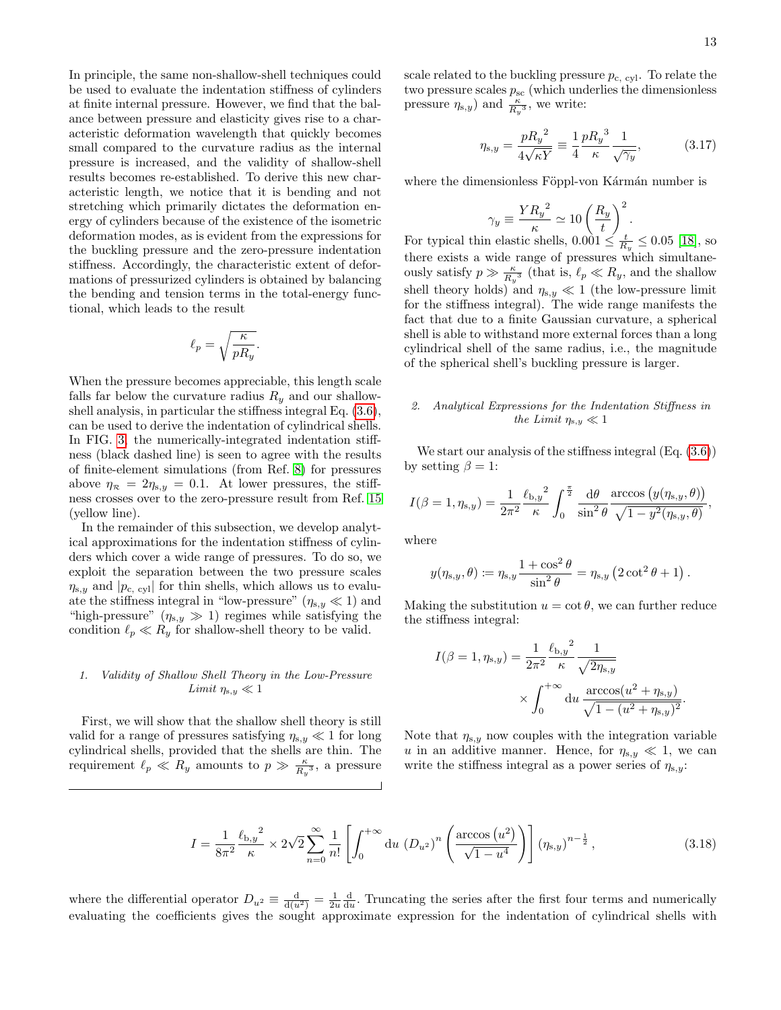In principle, the same non-shallow-shell techniques could be used to evaluate the indentation stiffness of cylinders at finite internal pressure. However, we find that the balance between pressure and elasticity gives rise to a characteristic deformation wavelength that quickly becomes small compared to the curvature radius as the internal pressure is increased, and the validity of shallow-shell results becomes re-established. To derive this new characteristic length, we notice that it is bending and not stretching which primarily dictates the deformation energy of cylinders because of the existence of the isometric deformation modes, as is evident from the expressions for the buckling pressure and the zero-pressure indentation stiffness. Accordingly, the characteristic extent of deformations of pressurized cylinders is obtained by balancing the bending and tension terms in the total-energy functional, which leads to the result

$$
\ell_p = \sqrt{\frac{\kappa}{pR_y}}.
$$

When the pressure becomes appreciable, this length scale falls far below the curvature radius  $R_y$  and our shallowshell analysis, in particular the stiffness integral Eq. [\(3.6\)](#page-6-5), can be used to derive the indentation of cylindrical shells. In FIG. [3,](#page-9-0) the numerically-integrated indentation stiffness (black dashed line) is seen to agree with the results of finite-element simulations (from Ref. [8\)](#page-15-0) for pressures above  $\eta_{\mathcal{R}} = 2\eta_{s,y} = 0.1$ . At lower pressures, the stiffness crosses over to the zero-pressure result from Ref. [15](#page-15-6) (yellow line).

In the remainder of this subsection, we develop analytical approximations for the indentation stiffness of cylinders which cover a wide range of pressures. To do so, we exploit the separation between the two pressure scales  $\eta_{s,y}$  and  $|p_{c,\text{cyl}}|$  for thin shells, which allows us to evaluate the stiffness integral in "low-pressure"  $(\eta_{s,y} \ll 1)$  and "high-pressure"  $(\eta_{s,y} \gg 1)$  regimes while satisfying the condition  $\ell_p \ll R_y$  for shallow-shell theory to be valid.

### <span id="page-12-0"></span>1. Validity of Shallow Shell Theory in the Low-Pressure Limit  $\eta_{s,y} \ll 1$

First, we will show that the shallow shell theory is still valid for a range of pressures satisfying  $\eta_{s,y} \ll 1$  for long cylindrical shells, provided that the shells are thin. The requirement  $\ell_p \ll R_y$  amounts to  $p \gg \frac{\kappa}{R_y^3}$ , a pressure scale related to the buckling pressure  $p_{\rm c, cyl}$ . To relate the two pressure scales  $p_{\rm sc}$  (which underlies the dimensionless pressure  $\eta_{s,y}$ ) and  $\frac{\kappa}{R_y^3}$ , we write:

$$
\eta_{s,y} = \frac{pR_y^2}{4\sqrt{\kappa Y}} \equiv \frac{1}{4} \frac{pR_y^3}{\kappa} \frac{1}{\sqrt{\gamma_y}},
$$
(3.17)

where the dimensionless Föppl-von Kármán number is

$$
\gamma_y \equiv \frac{Y {R_y}^2}{\kappa} \simeq 10 \left(\frac{R_y}{t}\right)^2.
$$

For typical thin elastic shells,  $0.001 \leq \frac{t}{R_y} \leq 0.05$  [\[18\]](#page-15-11), so there exists a wide range of pressures which simultaneously satisfy  $p \gg \frac{\kappa}{R_y^3}$  (that is,  $\ell_p \ll R_y$ , and the shallow shell theory holds) and  $\eta_{s,y}\ll 1$  (the low-pressure limit for the stiffness integral). The wide range manifests the fact that due to a finite Gaussian curvature, a spherical shell is able to withstand more external forces than a long cylindrical shell of the same radius, i.e., the magnitude of the spherical shell's buckling pressure is larger.

### 2. Analytical Expressions for the Indentation Stiffness in the Limit  $\eta_{s,y} \ll 1$

We start our analysis of the stiffness integral (Eq. [\(3.6\)](#page-6-5)) by setting  $\beta = 1$ :

$$
I(\beta=1,\eta_{\mathrm{s},y})=\frac{1}{2\pi^2}\frac{{\ell_{\mathrm{b},y}}^2}{\kappa}\int_0^{\frac{\pi}{2}}\frac{\mathrm{d}\theta}{\sin^2\theta}\frac{\arccos\big(y(\eta_{\mathrm{s},y},\theta)\big)}{\sqrt{1-y^2(\eta_{\mathrm{s},y},\theta)}},
$$

where

$$
y(\eta_{\mathbf{s},y},\theta) \coloneqq \eta_{\mathbf{s},y} \frac{1 + \cos^2 \theta}{\sin^2 \theta} = \eta_{\mathbf{s},y} (2 \cot^2 \theta + 1).
$$

Making the substitution  $u = \cot \theta$ , we can further reduce the stiffness integral:

$$
I(\beta = 1, \eta_{s,y}) = \frac{1}{2\pi^2} \frac{\ell_{b,y}^2}{\kappa} \frac{1}{\sqrt{2\eta_{s,y}}} \times \int_0^{+\infty} du \frac{\arccos(u^2 + \eta_{s,y})}{\sqrt{1 - (u^2 + \eta_{s,y})^2}}.
$$

Note that  $\eta_{s,y}$  now couples with the integration variable u in an additive manner. Hence, for  $\eta_{s,y} \ll 1$ , we can write the stiffness integral as a power series of  $\eta_{s,y}$ :

$$
I = \frac{1}{8\pi^2} \frac{\ell_{b,y}^2}{\kappa} \times 2\sqrt{2} \sum_{n=0}^{\infty} \frac{1}{n!} \left[ \int_0^{+\infty} du \, (D_{u^2})^n \left( \frac{\arccos(u^2)}{\sqrt{1 - u^4}} \right) \right] (\eta_{s,y})^{n - \frac{1}{2}},\tag{3.18}
$$

where the differential operator  $D_{u^2} \equiv \frac{d}{du^2} = \frac{1}{2u} \frac{d}{du}$ . Truncating the series after the first four terms and numerically evaluating the coefficients gives the sought approximate expression for the indentation of cylindrical shells with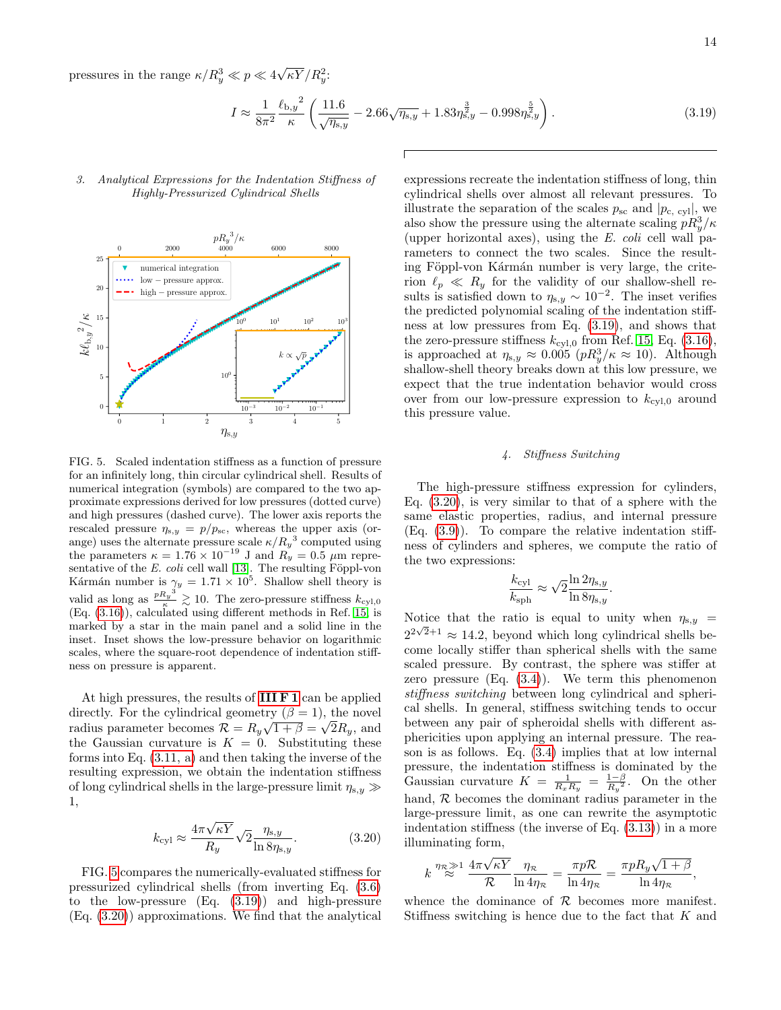pressures in the range  $\kappa/R_y^3 \ll p \ll 4\sqrt{\kappa Y}/R_y^2$ .

<span id="page-13-1"></span>
$$
I \approx \frac{1}{8\pi^2} \frac{\ell_{b,y}^2}{\kappa} \left( \frac{11.6}{\sqrt{\eta_{s,y}}} - 2.66\sqrt{\eta_{s,y}} + 1.83\eta_{s,y}^{\frac{3}{2}} - 0.998\eta_{s,y}^{\frac{5}{2}} \right).
$$
 (3.19)

# 3. Analytical Expressions for the Indentation Stiffness of Highly-Pressurized Cylindrical Shells



<span id="page-13-0"></span>FIG. 5. Scaled indentation stiffness as a function of pressure for an infinitely long, thin circular cylindrical shell. Results of numerical integration (symbols) are compared to the two approximate expressions derived for low pressures (dotted curve) and high pressures (dashed curve). The lower axis reports the rescaled pressure  $\eta_{s,y} = p/p_{\rm sc}$ , whereas the upper axis (orange) uses the alternate pressure scale  $\kappa/R_y^3$  computed using the parameters  $\kappa = 1.76 \times 10^{-19}$  J and  $R_y = 0.5 \mu m$  representative of the  $E.$  coli cell wall [\[13\]](#page-15-4). The resulting Föppl-von Kármán number is  $\gamma_y = 1.71 \times 10^5$ . Shallow shell theory is valid as long as  $\frac{pR_y^3}{\kappa} \gtrsim 10$ . The zero-pressure stiffness  $k_{\text{cyl},0}$ (Eq. [\(3.16\)](#page-11-2)), calculated using different methods in Ref. [15,](#page-15-6) is marked by a star in the main panel and a solid line in the inset. Inset shows the low-pressure behavior on logarithmic scales, where the square-root dependence of indentation stiffness on pressure is apparent.

At high pressures, the results of **[III F 1](#page-8-6)** can be applied directly. For the cylindrical geometry  $(\beta = 1)$ , the novel radius parameter becomes  $\mathcal{R} = R_y \sqrt{1 + \beta} = \sqrt{2}R_y$ , and the Gaussian curvature is  $K = 0$ . Substituting these forms into Eq. [\(3.11, a\)](#page-8-4) and then taking the inverse of the resulting expression, we obtain the indentation stiffness of long cylindrical shells in the large-pressure limit  $\eta_{\mathrm{s},y} \gg$ 1,

<span id="page-13-2"></span>
$$
k_{\rm cyl} \approx \frac{4\pi\sqrt{\kappa Y}}{R_y} \sqrt{2} \frac{\eta_{\rm s,y}}{\ln 8 \eta_{\rm s,y}}.\tag{3.20}
$$

FIG. [5](#page-13-0) compares the numerically-evaluated stiffness for pressurized cylindrical shells (from inverting Eq. [\(3.6\)](#page-6-5) to the low-pressure  $(Eq. (3.19))$  $(Eq. (3.19))$  $(Eq. (3.19))$  and high-pressure (Eq. [\(3.20\)](#page-13-2)) approximations. We find that the analytical expressions recreate the indentation stiffness of long, thin cylindrical shells over almost all relevant pressures. To illustrate the separation of the scales  $p_{\rm sc}$  and  $|p_{\rm c, cyl}|$ , we also show the pressure using the alternate scaling  $pR_y^3/\kappa$ (upper horizontal axes), using the  $E$ . coli cell wall parameters to connect the two scales. Since the resulting Föppl-von Kármán number is very large, the criterion  $\ell_p \ll R_y$  for the validity of our shallow-shell results is satisfied down to  $\eta_{s,y} \sim 10^{-2}$ . The inset verifies the predicted polynomial scaling of the indentation stiffness at low pressures from Eq. [\(3.19\)](#page-13-1), and shows that the zero-pressure stiffness  $k_{cyl,0}$  from Ref. [15,](#page-15-6) Eq. [\(3.16\)](#page-11-2), is approached at  $\eta_{s,y} \approx 0.005 \ (pR_y^3/\kappa \approx 10)$ . Although shallow-shell theory breaks down at this low pressure, we expect that the true indentation behavior would cross over from our low-pressure expression to  $k_{\text{cyl},0}$  around this pressure value.

### 4. Stiffness Switching

The high-pressure stiffness expression for cylinders, Eq.  $(3.20)$ , is very similar to that of a sphere with the same elastic properties, radius, and internal pressure  $(Eq. (3.9))$  $(Eq. (3.9))$  $(Eq. (3.9))$ . To compare the relative indentation stiffness of cylinders and spheres, we compute the ratio of the two expressions:

$$
\frac{k_{\rm cyl}}{k_{\rm sph}} \approx \sqrt{2} \frac{\ln 2 \eta_{\rm s,y}}{\ln 8 \eta_{\rm s,y}}.
$$

Notice that the ratio is equal to unity when  $\eta_{s,y}$  =  $2^{2\sqrt{2}+1} \approx 14.2$ , beyond which long cylindrical shells become locally stiffer than spherical shells with the same scaled pressure. By contrast, the sphere was stiffer at zero pressure  $(Eq. (3.4))$  $(Eq. (3.4))$  $(Eq. (3.4))$ . We term this phenomenon stiffness switching between long cylindrical and spherical shells. In general, stiffness switching tends to occur between any pair of spheroidal shells with different asphericities upon applying an internal pressure. The reason is as follows. Eq. [\(3.4\)](#page-5-1) implies that at low internal pressure, the indentation stiffness is dominated by the Gaussian curvature  $K = \frac{1}{R_x R_y} = \frac{1-\beta}{R_y^2}$ . On the other hand,  $R$  becomes the dominant radius parameter in the large-pressure limit, as one can rewrite the asymptotic indentation stiffness (the inverse of Eq. [\(3.13\)](#page-9-2)) in a more illuminating form,

$$
k \stackrel{\eta_{\mathcal{R}} \gg 1}{\approx} \frac{4\pi\sqrt{\kappa Y}}{\mathcal{R}} \frac{\eta_{\mathcal{R}}}{\ln 4\eta_{\mathcal{R}}} = \frac{\pi p \mathcal{R}}{\ln 4\eta_{\mathcal{R}}} = \frac{\pi p R_y \sqrt{1+\beta}}{\ln 4\eta_{\mathcal{R}}},
$$

whence the dominance of  $R$  becomes more manifest. Stiffness switching is hence due to the fact that K and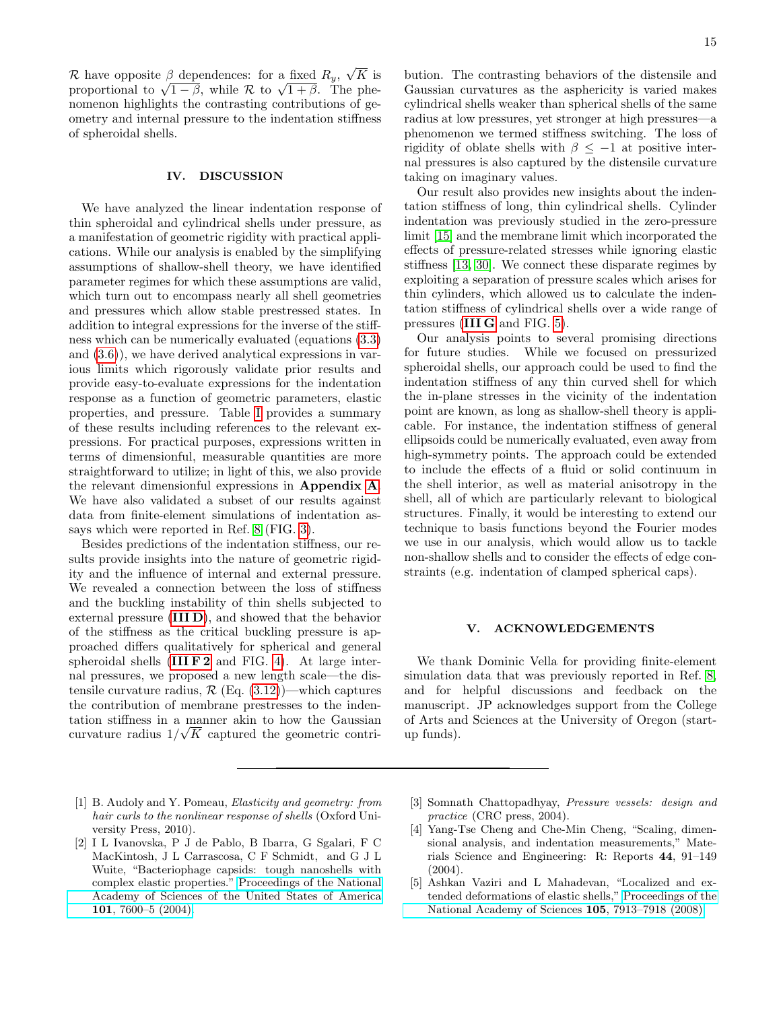R have opposite  $\beta$  dependences: for a fixed  $R_y$ ,  $\sqrt{K}$  is proportional to  $\sqrt{1-\beta}$ , while  $\mathcal R$  to  $\sqrt{1+\beta}$ . The phenomenon highlights the contrasting contributions of geometry and internal pressure to the indentation stiffness of spheroidal shells.

#### IV. DISCUSSION

We have analyzed the linear indentation response of thin spheroidal and cylindrical shells under pressure, as a manifestation of geometric rigidity with practical applications. While our analysis is enabled by the simplifying assumptions of shallow-shell theory, we have identified parameter regimes for which these assumptions are valid, which turn out to encompass nearly all shell geometries and pressures which allow stable prestressed states. In addition to integral expressions for the inverse of the stiffness which can be numerically evaluated (equations [\(3.3\)](#page-5-0) and [\(3.6\)](#page-6-5)), we have derived analytical expressions in various limits which rigorously validate prior results and provide easy-to-evaluate expressions for the indentation response as a function of geometric parameters, elastic properties, and pressure. Table [I](#page-15-24) provides a summary of these results including references to the relevant expressions. For practical purposes, expressions written in terms of dimensionful, measurable quantities are more straightforward to utilize; in light of this, we also provide the relevant dimensionful expressions in Appendix [A](#page-16-0). We have also validated a subset of our results against data from finite-element simulations of indentation assays which were reported in Ref. [8](#page-15-0) (FIG. [3\)](#page-9-0).

Besides predictions of the indentation stiffness, our results provide insights into the nature of geometric rigidity and the influence of internal and external pressure. We revealed a connection between the loss of stiffness and the buckling instability of thin shells subjected to external pressure ([III D](#page-6-0)), and showed that the behavior of the stiffness as the critical buckling pressure is approached differs qualitatively for spherical and general spheroidal shells  $(III F 2 and FIG. 4)$  $(III F 2 and FIG. 4)$  $(III F 2 and FIG. 4)$  $(III F 2 and FIG. 4)$ . At large internal pressures, we proposed a new length scale—the distensile curvature radius,  $\mathcal{R}$  (Eq. [\(3.12\)](#page-8-2))—which captures the contribution of membrane prestresses to the indentation stiffness in a manner akin to how the Gaussian curvature radius  $1/\sqrt{K}$  captured the geometric contri-

bution. The contrasting behaviors of the distensile and Gaussian curvatures as the asphericity is varied makes cylindrical shells weaker than spherical shells of the same radius at low pressures, yet stronger at high pressures—a phenomenon we termed stiffness switching. The loss of rigidity of oblate shells with  $\beta \leq -1$  at positive internal pressures is also captured by the distensile curvature taking on imaginary values.

Our result also provides new insights about the indentation stiffness of long, thin cylindrical shells. Cylinder indentation was previously studied in the zero-pressure limit [\[15\]](#page-15-6) and the membrane limit which incorporated the effects of pressure-related stresses while ignoring elastic stiffness [\[13,](#page-15-4) [30\]](#page-15-25). We connect these disparate regimes by exploiting a separation of pressure scales which arises for thin cylinders, which allowed us to calculate the indentation stiffness of cylindrical shells over a wide range of pressures ([III G](#page-11-0) and FIG. [5\)](#page-13-0).

Our analysis points to several promising directions for future studies. While we focused on pressurized spheroidal shells, our approach could be used to find the indentation stiffness of any thin curved shell for which the in-plane stresses in the vicinity of the indentation point are known, as long as shallow-shell theory is applicable. For instance, the indentation stiffness of general ellipsoids could be numerically evaluated, even away from high-symmetry points. The approach could be extended to include the effects of a fluid or solid continuum in the shell interior, as well as material anisotropy in the shell, all of which are particularly relevant to biological structures. Finally, it would be interesting to extend our technique to basis functions beyond the Fourier modes we use in our analysis, which would allow us to tackle non-shallow shells and to consider the effects of edge constraints (e.g. indentation of clamped spherical caps).

#### V. ACKNOWLEDGEMENTS

We thank Dominic Vella for providing finite-element simulation data that was previously reported in Ref. [8,](#page-15-0) and for helpful discussions and feedback on the manuscript. JP acknowledges support from the College of Arts and Sciences at the University of Oregon (startup funds).

- <span id="page-14-0"></span>[1] B. Audoly and Y. Pomeau, Elasticity and geometry: from hair curls to the nonlinear response of shells (Oxford University Press, 2010).
- <span id="page-14-1"></span>[2] I L Ivanovska, P J de Pablo, B Ibarra, G Sgalari, F C MacKintosh, J L Carrascosa, C F Schmidt, and G J L Wuite, "Bacteriophage capsids: tough nanoshells with complex elastic properties." [Proceedings of the National](http://dx.doi.org/10.1073/pnas.0308198101) [Academy of Sciences of the United States of America](http://dx.doi.org/10.1073/pnas.0308198101) 101[, 7600–5 \(2004\).](http://dx.doi.org/10.1073/pnas.0308198101)
- <span id="page-14-2"></span>[3] Somnath Chattopadhyay, Pressure vessels: design and practice (CRC press, 2004).
- <span id="page-14-3"></span>[4] Yang-Tse Cheng and Che-Min Cheng, "Scaling, dimensional analysis, and indentation measurements," Materials Science and Engineering: R: Reports 44, 91–149 (2004).
- <span id="page-14-4"></span>[5] Ashkan Vaziri and L Mahadevan, "Localized and extended deformations of elastic shells," [Proceedings of the](http://dx.doi.org/ 10.1073/pnas.0707364105) [National Academy of Sciences](http://dx.doi.org/ 10.1073/pnas.0707364105) 105, 7913–7918 (2008).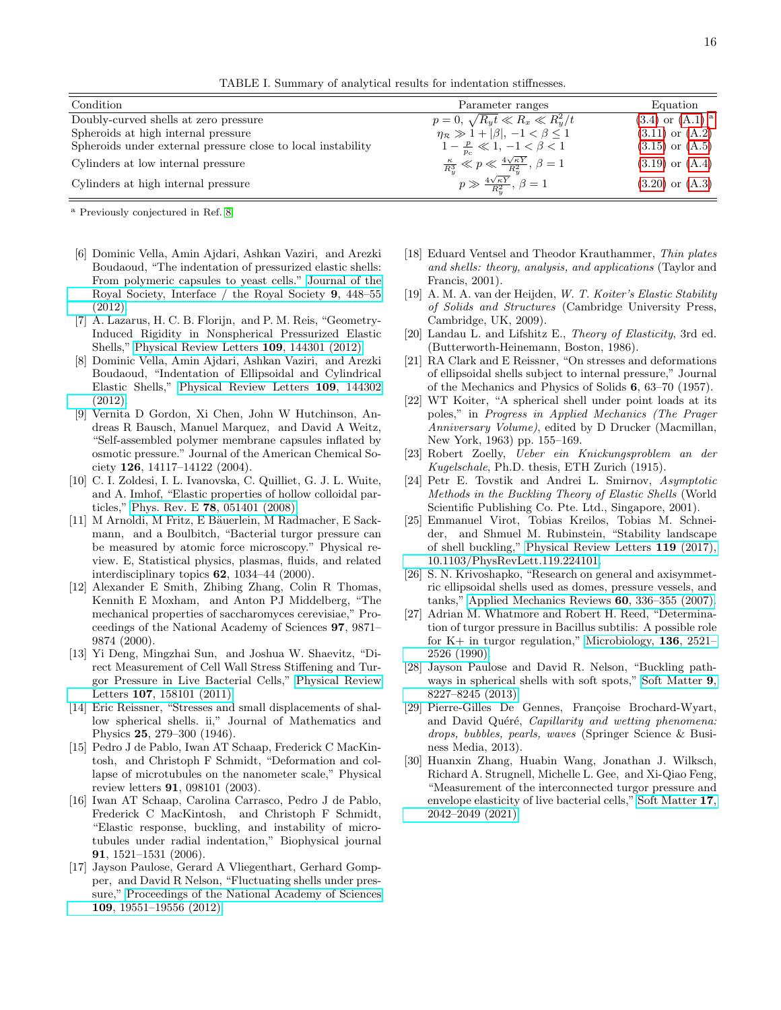<span id="page-15-24"></span>TABLE I. Summary of analytical results for indentation stiffnesses.

| Condition                                                    | Parameter ranges                                                             | Equation                        |
|--------------------------------------------------------------|------------------------------------------------------------------------------|---------------------------------|
| Doubly-curved shells at zero pressure                        | $p=0, \sqrt{R_y t} \ll R_x \ll R_y^2/t$                                      | $(3.4)$ or $(A.1)$ <sup>a</sup> |
| Spheroids at high internal pressure                          | $\eta_{\mathcal{R}} \gg 1 +  \beta , -1 < \beta \leq 1$                      | $(3.11)$ or $(A.2)$             |
| Spheroids under external pressure close to local instability | $1-\frac{p}{n} \ll 1, -1 < \beta < 1$                                        | $(3.15)$ or $(A.5)$             |
| Cylinders at low internal pressure                           | $\frac{\kappa}{R_v^3} \ll p \ll \frac{4\sqrt{\kappa Y}}{R_v^2}, \ \beta = 1$ | $(3.19)$ or $(A.4)$             |
| Cylinders at high internal pressure                          | $p \gg \frac{4\sqrt{\kappa Y}}{R_c^2}, \beta = 1$                            | $(3.20)$ or $(A.3)$             |

<span id="page-15-26"></span><sup>a</sup> Previously conjectured in Ref. [8.](#page-15-0)

- <span id="page-15-8"></span>[6] Dominic Vella, Amin Ajdari, Ashkan Vaziri, and Arezki Boudaoud, "The indentation of pressurized elastic shells: From polymeric capsules to yeast cells." [Journal of the](http://dx.doi.org/10.1098/rsif.2011.0352) [Royal Society, Interface / the Royal Society](http://dx.doi.org/10.1098/rsif.2011.0352) 9, 448–55 [\(2012\).](http://dx.doi.org/10.1098/rsif.2011.0352)
- <span id="page-15-10"></span>[7] A. Lazarus, H. C. B. Florijn, and P. M. Reis, "Geometry-Induced Rigidity in Nonspherical Pressurized Elastic Shells," [Physical Review Letters](http://dx.doi.org/10.1103/PhysRevLett.109.144301) 109, 144301 (2012).
- <span id="page-15-0"></span>[8] Dominic Vella, Amin Ajdari, Ashkan Vaziri, and Arezki Boudaoud, "Indentation of Ellipsoidal and Cylindrical Elastic Shells," [Physical Review Letters](http://dx.doi.org/ 10.1103/PhysRevLett.109.144302) 109, 144302 [\(2012\).](http://dx.doi.org/ 10.1103/PhysRevLett.109.144302)
- <span id="page-15-1"></span>[9] Vernita D Gordon, Xi Chen, John W Hutchinson, Andreas R Bausch, Manuel Marquez, and David A Weitz, "Self-assembled polymer membrane capsules inflated by osmotic pressure." Journal of the American Chemical Society 126, 14117–14122 (2004).
- <span id="page-15-2"></span>[10] C. I. Zoldesi, I. L. Ivanovska, C. Quilliet, G. J. L. Wuite, and A. Imhof, "Elastic properties of hollow colloidal particles," Phys. Rev. E 78[, 051401 \(2008\).](http://dx.doi.org/10.1103/PhysRevE.78.051401)
- <span id="page-15-3"></span>[11] M Arnoldi, M Fritz, E Bäuerlein, M Radmacher, E Sackmann, and a Boulbitch, "Bacterial turgor pressure can be measured by atomic force microscopy." Physical review. E, Statistical physics, plasmas, fluids, and related interdisciplinary topics 62, 1034–44 (2000).
- <span id="page-15-21"></span>[12] Alexander E Smith, Zhibing Zhang, Colin R Thomas, Kennith E Moxham, and Anton PJ Middelberg, "The mechanical properties of saccharomyces cerevisiae," Proceedings of the National Academy of Sciences 97, 9871– 9874 (2000).
- <span id="page-15-4"></span>[13] Yi Deng, Mingzhai Sun, and Joshua W. Shaevitz, "Direct Measurement of Cell Wall Stress Stiffening and Turgor Pressure in Live Bacterial Cells," [Physical Review](http://dx.doi.org/10.1103/PhysRevLett.107.158101) Letters 107[, 158101 \(2011\).](http://dx.doi.org/10.1103/PhysRevLett.107.158101)
- <span id="page-15-5"></span>[14] Eric Reissner, "Stresses and small displacements of shallow spherical shells. ii," Journal of Mathematics and Physics 25, 279–300 (1946).
- <span id="page-15-6"></span>[15] Pedro J de Pablo, Iwan AT Schaap, Frederick C MacKintosh, and Christoph F Schmidt, "Deformation and collapse of microtubules on the nanometer scale," Physical review letters 91, 098101 (2003).
- <span id="page-15-7"></span>[16] Iwan AT Schaap, Carolina Carrasco, Pedro J de Pablo, Frederick C MacKintosh, and Christoph F Schmidt, "Elastic response, buckling, and instability of microtubules under radial indentation," Biophysical journal 91, 1521–1531 (2006).
- <span id="page-15-9"></span>[17] Jayson Paulose, Gerard A Vliegenthart, Gerhard Gompper, and David R Nelson, "Fluctuating shells under pressure," [Proceedings of the National Academy of Sciences](http://dx.doi.org/10.1073/pnas.1212268109) 109[, 19551–19556 \(2012\).](http://dx.doi.org/10.1073/pnas.1212268109)
- <span id="page-15-11"></span>[18] Eduard Ventsel and Theodor Krauthammer, Thin plates and shells: theory, analysis, and applications (Taylor and Francis, 2001).
- <span id="page-15-12"></span>[19] A. M. A. van der Heijden, W. T. Koiter's Elastic Stability of Solids and Structures (Cambridge University Press, Cambridge, UK, 2009).
- <span id="page-15-13"></span>[20] Landau L. and Lifshitz E., Theory of Elasticity, 3rd ed. (Butterworth-Heinemann, Boston, 1986).
- <span id="page-15-14"></span>[21] RA Clark and E Reissner, "On stresses and deformations of ellipsoidal shells subject to internal pressure," Journal of the Mechanics and Physics of Solids 6, 63–70 (1957).
- <span id="page-15-15"></span>[22] WT Koiter, "A spherical shell under point loads at its poles," in Progress in Applied Mechanics (The Prager Anniversary Volume), edited by D Drucker (Macmillan, New York, 1963) pp. 155–169.
- <span id="page-15-16"></span>[23] Robert Zoelly, Ueber ein Knickungsproblem an der Kugelschale, Ph.D. thesis, ETH Zurich (1915).
- <span id="page-15-17"></span>[24] Petr E. Tovstik and Andrei L. Smirnov, Asymptotic Methods in the Buckling Theory of Elastic Shells (World Scientific Publishing Co. Pte. Ltd., Singapore, 2001).
- <span id="page-15-18"></span>[25] Emmanuel Virot, Tobias Kreilos, Tobias M. Schneider, and Shmuel M. Rubinstein, "Stability landscape of shell buckling," [Physical Review Letters](http://dx.doi.org/ 10.1103/PhysRevLett.119.224101) 119 (2017), [10.1103/PhysRevLett.119.224101.](http://dx.doi.org/ 10.1103/PhysRevLett.119.224101)
- <span id="page-15-19"></span>[26] S. N. Krivoshapko, "Research on general and axisymmetric ellipsoidal shells used as domes, pressure vessels, and tanks," [Applied Mechanics Reviews](http://dx.doi.org/10.1115/1.2806278) 60, 336–355 (2007).
- <span id="page-15-20"></span>[27] Adrian M. Whatmore and Robert H. Reed, "Determination of turgor pressure in Bacillus subtilis: A possible role for K+ in turgor regulation," [Microbiology,](http://dx.doi.org/ 10.1099/00221287-136-12-2521) 136, 2521– [2526 \(1990\).](http://dx.doi.org/ 10.1099/00221287-136-12-2521)
- <span id="page-15-22"></span>[28] Jayson Paulose and David R. Nelson, "Buckling pathways in spherical shells with soft spots," [Soft Matter](http://dx.doi.org/ 10.1039/c3sm50719j) 9, [8227–8245 \(2013\).](http://dx.doi.org/ 10.1039/c3sm50719j)
- <span id="page-15-23"></span>[29] Pierre-Gilles De Gennes, Françoise Brochard-Wyart, and David Quéré, Capillarity and wetting phenomena: drops, bubbles, pearls, waves (Springer Science & Business Media, 2013).
- <span id="page-15-25"></span>[30] Huanxin Zhang, Huabin Wang, Jonathan J. Wilksch, Richard A. Strugnell, Michelle L. Gee, and Xi-Qiao Feng, "Measurement of the interconnected turgor pressure and envelope elasticity of live bacterial cells," [Soft Matter](http://dx.doi.org/10.1039/D0SM02075C) 17, [2042–2049 \(2021\).](http://dx.doi.org/10.1039/D0SM02075C)